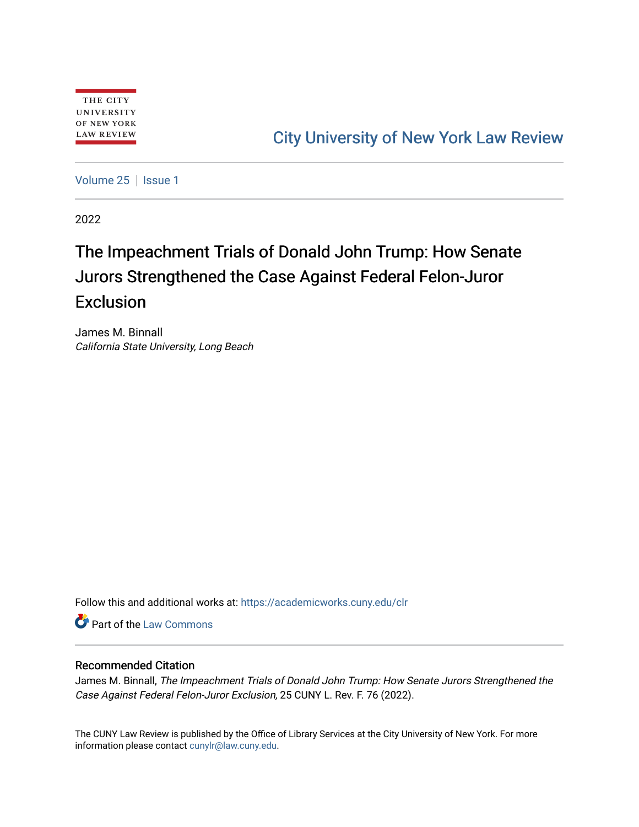# [City University of New York Law Review](https://academicworks.cuny.edu/clr)

[Volume 25](https://academicworks.cuny.edu/clr/vol25) | [Issue 1](https://academicworks.cuny.edu/clr/vol25/iss1)

2022

# The Impeachment Trials of Donald John Trump: How Senate Jurors Strengthened the Case Against Federal Felon-Juror Exclusion

James M. Binnall California State University, Long Beach

Follow this and additional works at: [https://academicworks.cuny.edu/clr](https://academicworks.cuny.edu/clr?utm_source=academicworks.cuny.edu%2Fclr%2Fvol25%2Fiss1%2F16&utm_medium=PDF&utm_campaign=PDFCoverPages) 

**Part of the [Law Commons](http://network.bepress.com/hgg/discipline/578?utm_source=academicworks.cuny.edu%2Fclr%2Fvol25%2Fiss1%2F16&utm_medium=PDF&utm_campaign=PDFCoverPages)** 

# Recommended Citation

James M. Binnall, The Impeachment Trials of Donald John Trump: How Senate Jurors Strengthened the Case Against Federal Felon-Juror Exclusion, 25 CUNY L. Rev. F. 76 (2022).

The CUNY Law Review is published by the Office of Library Services at the City University of New York. For more information please contact [cunylr@law.cuny.edu](mailto:cunylr@law.cuny.edu).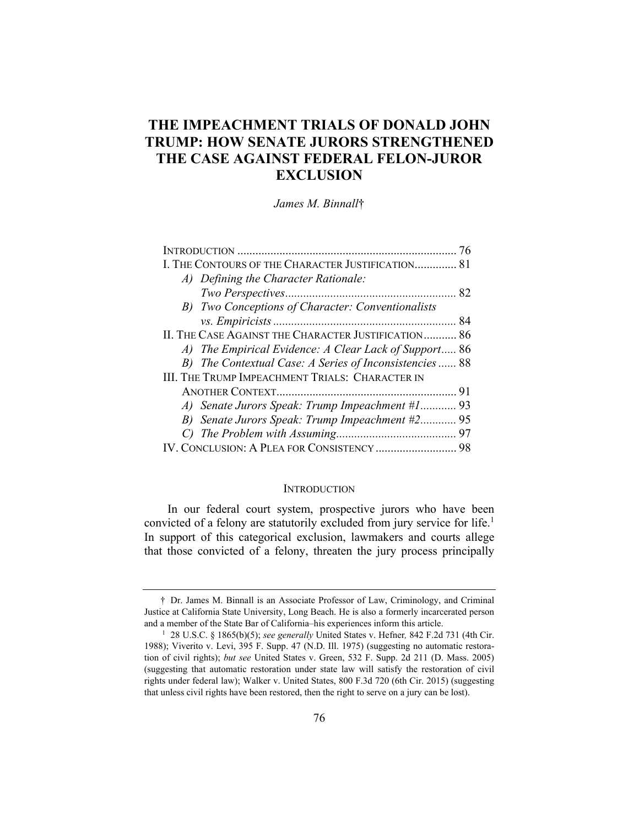# **THE IMPEACHMENT TRIALS OF DONALD JOHN TRUMP: HOW SENATE JURORS STRENGTHENED THE CASE AGAINST FEDERAL FELON-JUROR EXCLUSION**

*James M. Binnall*†

| I. THE CONTOURS OF THE CHARACTER JUSTIFICATION 81       |  |
|---------------------------------------------------------|--|
| A) Defining the Character Rationale:                    |  |
|                                                         |  |
| B) Two Conceptions of Character: Conventionalists       |  |
|                                                         |  |
| II. THE CASE AGAINST THE CHARACTER JUSTIFICATION 86     |  |
| A) The Empirical Evidence: A Clear Lack of Support 86   |  |
| B) The Contextual Case: A Series of Inconsistencies  88 |  |
| III. THE TRUMP IMPEACHMENT TRIALS: CHARACTER IN         |  |
|                                                         |  |
| A) Senate Jurors Speak: Trump Impeachment #1 93         |  |
| B) Senate Jurors Speak: Trump Impeachment #2 95         |  |
|                                                         |  |
|                                                         |  |
|                                                         |  |

#### **INTRODUCTION**

In our federal court system, prospective jurors who have been convicted of a felony are statutorily excluded from jury service for life.<sup>1</sup> In support of this categorical exclusion, lawmakers and courts allege that those convicted of a felony, threaten the jury process principally

 <sup>†</sup> Dr. James M. Binnall is an Associate Professor of Law, Criminology, and Criminal Justice at California State University, Long Beach. He is also a formerly incarcerated person and a member of the State Bar of California–his experiences inform this article. 1 28 U.S.C. § 1865(b)(5); *see generally* United States v. Hefner*,* 842 F.2d 731 (4th Cir.

<sup>1988);</sup> Viverito v. Levi, 395 F. Supp. 47 (N.D. Ill. 1975) (suggesting no automatic restoration of civil rights); *but see* United States v. Green, 532 F. Supp. 2d 211 (D. Mass. 2005) (suggesting that automatic restoration under state law will satisfy the restoration of civil rights under federal law); Walker v. United States, 800 F.3d 720 (6th Cir. 2015) (suggesting that unless civil rights have been restored, then the right to serve on a jury can be lost).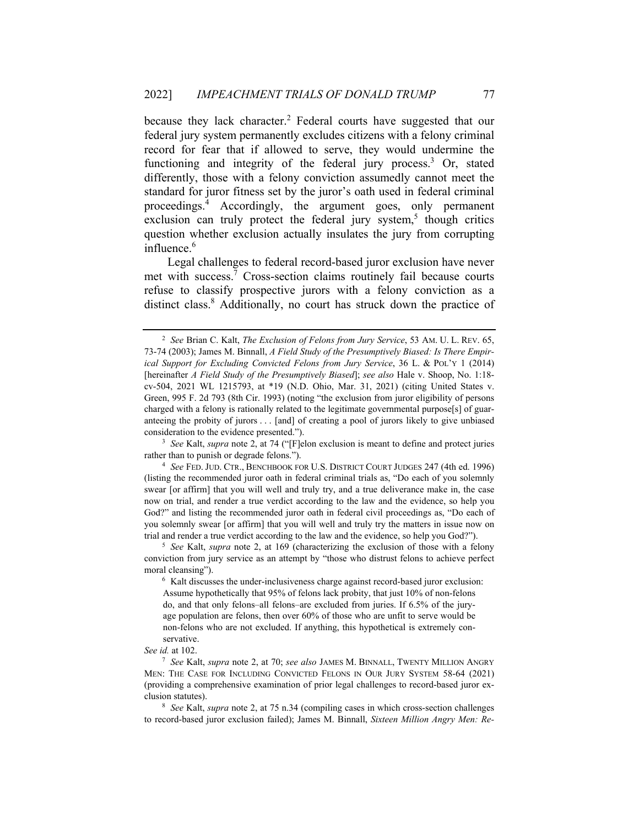because they lack character.<sup>2</sup> Federal courts have suggested that our federal jury system permanently excludes citizens with a felony criminal record for fear that if allowed to serve, they would undermine the functioning and integrity of the federal jury process.<sup>3</sup> Or, stated differently, those with a felony conviction assumedly cannot meet the standard for juror fitness set by the juror's oath used in federal criminal proceedings.4 Accordingly, the argument goes, only permanent exclusion can truly protect the federal jury system,<sup>5</sup> though critics question whether exclusion actually insulates the jury from corrupting influence.<sup>6</sup>

Legal challenges to federal record-based juror exclusion have never met with success.<sup>7</sup> Cross-section claims routinely fail because courts refuse to classify prospective jurors with a felony conviction as a distinct class.<sup>8</sup> Additionally, no court has struck down the practice of

rather than to punish or degrade felons."). 4 *See* FED. JUD. CTR., BENCHBOOK FOR U.S. DISTRICT COURT JUDGES 247 (4th ed. 1996)

<sup>2</sup> *See* Brian C. Kalt, *The Exclusion of Felons from Jury Service*, 53 AM. U. L. REV. 65, 73-74 (2003); James M. Binnall, *A Field Study of the Presumptively Biased: Is There Empirical Support for Excluding Convicted Felons from Jury Service*, 36 L. & POL'Y 1 (2014) [hereinafter *A Field Study of the Presumptively Biased*]; *see also* Hale v. Shoop, No. 1:18 cv-504, 2021 WL 1215793, at \*19 (N.D. Ohio, Mar. 31, 2021) (citing United States v. Green, 995 F. 2d 793 (8th Cir. 1993) (noting "the exclusion from juror eligibility of persons charged with a felony is rationally related to the legitimate governmental purpose[s] of guaranteeing the probity of jurors . . . [and] of creating a pool of jurors likely to give unbiased consideration to the evidence presented."). 3 *See* Kalt, *supra* note 2, at 74 ("[F]elon exclusion is meant to define and protect juries

<sup>(</sup>listing the recommended juror oath in federal criminal trials as, "Do each of you solemnly swear [or affirm] that you will well and truly try, and a true deliverance make in, the case now on trial, and render a true verdict according to the law and the evidence, so help you God?" and listing the recommended juror oath in federal civil proceedings as, "Do each of you solemnly swear [or affirm] that you will well and truly try the matters in issue now on trial and render a true verdict according to the law and the evidence, so help you God?").

<sup>5</sup> *See* Kalt, *supra* note 2, at 169 (characterizing the exclusion of those with a felony conviction from jury service as an attempt by "those who distrust felons to achieve perfect moral cleansing"). <sup>6</sup> Kalt discusses the under-inclusiveness charge against record-based juror exclusion:

Assume hypothetically that 95% of felons lack probity, that just 10% of non-felons do, and that only felons–all felons–are excluded from juries. If 6.5% of the juryage population are felons, then over 60% of those who are unfit to serve would be non-felons who are not excluded. If anything, this hypothetical is extremely conservative.

*See id.* at 102.

<sup>7</sup> *See* Kalt, *supra* note 2, at 70; *see also* JAMES M. BINNALL, TWENTY MILLION ANGRY MEN: THE CASE FOR INCLUDING CONVICTED FELONS IN OUR JURY SYSTEM 58-64 (2021) (providing a comprehensive examination of prior legal challenges to record-based juror exclusion statutes). 8 *See* Kalt, *supra* note 2, at 75 n.34 (compiling cases in which cross-section challenges

to record-based juror exclusion failed); James M. Binnall, *Sixteen Million Angry Men: Re-*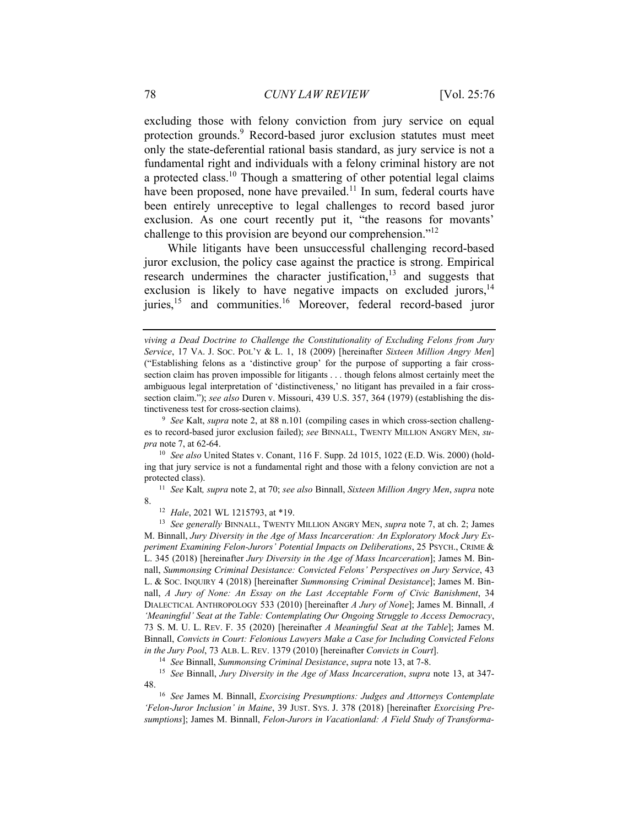excluding those with felony conviction from jury service on equal protection grounds.<sup>9</sup> Record-based juror exclusion statutes must meet only the state-deferential rational basis standard, as jury service is not a fundamental right and individuals with a felony criminal history are not a protected class.<sup>10</sup> Though a smattering of other potential legal claims have been proposed, none have prevailed.<sup>11</sup> In sum, federal courts have been entirely unreceptive to legal challenges to record based juror exclusion. As one court recently put it, "the reasons for movants' challenge to this provision are beyond our comprehension."<sup>12</sup>

While litigants have been unsuccessful challenging record-based juror exclusion, the policy case against the practice is strong. Empirical research undermines the character justification,<sup>13</sup> and suggests that exclusion is likely to have negative impacts on excluded jurors,  $14$ juries,<sup>15</sup> and communities.<sup>16</sup> Moreover, federal record-based juror

es to record-based juror exclusion failed); *see* BINNALL, TWENTY MILLION ANGRY MEN, *supra* note 7, at 62-64.

10 *See also* United States v. Conant, 116 F. Supp. 2d 1015, 1022 (E.D. Wis. 2000) (holding that jury service is not a fundamental right and those with a felony conviction are not a protected class). 11 *See* Kalt*, supra* note 2, at 70; *see also* Binnall, *Sixteen Million Angry Men*, *supra* note

8. 12 *Hale*, 2021 WL 1215793, at \*19.

<sup>13</sup> *See generally* BINNALL, TWENTY MILLION ANGRY MEN, *supra* note 7, at ch. 2; James M. Binnall, *Jury Diversity in the Age of Mass Incarceration: An Exploratory Mock Jury Experiment Examining Felon-Jurors' Potential Impacts on Deliberations*, 25 PSYCH., CRIME & L. 345 (2018) [hereinafter *Jury Diversity in the Age of Mass Incarceration*]; James M. Binnall, *Summonsing Criminal Desistance: Convicted Felons' Perspectives on Jury Service*, 43 L. & SOC. INQUIRY 4 (2018) [hereinafter *Summonsing Criminal Desistance*]; James M. Binnall, *A Jury of None: An Essay on the Last Acceptable Form of Civic Banishment*, 34 DIALECTICAL ANTHROPOLOGY 533 (2010) [hereinafter *A Jury of None*]; James M. Binnall, *A 'Meaningful' Seat at the Table: Contemplating Our Ongoing Struggle to Access Democracy*, 73 S. M. U. L. REV. F. 35 (2020) [hereinafter *A Meaningful Seat at the Table*]; James M. Binnall, *Convicts in Court: Felonious Lawyers Make a Case for Including Convicted Felons*  in the Jury Pool, 73 ALB. L. REV. 1379 (2010) [hereinafter Convicts in Court].<br><sup>14</sup> See Binnall, Summonsing Criminal Desistance, supra note 13, at 7-8.<br><sup>15</sup> See Binnall, Jury Diversity in the Age of Mass Incarceration, sup

48. 16 *See* James M. Binnall, *Exorcising Presumptions: Judges and Attorneys Contemplate* 

*'Felon-Juror Inclusion' in Maine*, 39 JUST. SYS. J. 378 (2018) [hereinafter *Exorcising Presumptions*]; James M. Binnall, *Felon-Jurors in Vacationland: A Field Study of Transforma-*

*viving a Dead Doctrine to Challenge the Constitutionality of Excluding Felons from Jury Service*, 17 VA. J. SOC. POL'Y & L. 1, 18 (2009) [hereinafter *Sixteen Million Angry Men*] ("Establishing felons as a 'distinctive group' for the purpose of supporting a fair crosssection claim has proven impossible for litigants . . . though felons almost certainly meet the ambiguous legal interpretation of 'distinctiveness,' no litigant has prevailed in a fair crosssection claim."); *see also* Duren v. Missouri, 439 U.S. 357, 364 (1979) (establishing the distinctiveness test for cross-section claims). 9 *See* Kalt, *supra* note 2, at 88 n.101 (compiling cases in which cross-section challeng-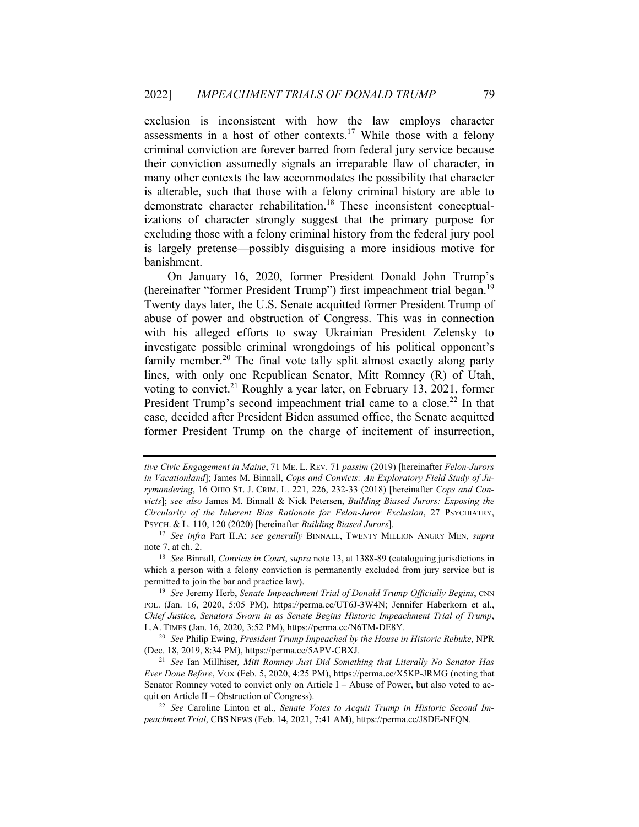exclusion is inconsistent with how the law employs character assessments in a host of other contexts.<sup>17</sup> While those with a felony criminal conviction are forever barred from federal jury service because their conviction assumedly signals an irreparable flaw of character, in many other contexts the law accommodates the possibility that character is alterable, such that those with a felony criminal history are able to demonstrate character rehabilitation.<sup>18</sup> These inconsistent conceptualizations of character strongly suggest that the primary purpose for excluding those with a felony criminal history from the federal jury pool is largely pretense—possibly disguising a more insidious motive for banishment.

On January 16, 2020, former President Donald John Trump's (hereinafter "former President Trump") first impeachment trial began.<sup>19</sup> Twenty days later, the U.S. Senate acquitted former President Trump of abuse of power and obstruction of Congress. This was in connection with his alleged efforts to sway Ukrainian President Zelensky to investigate possible criminal wrongdoings of his political opponent's family member.<sup>20</sup> The final vote tally split almost exactly along party lines, with only one Republican Senator, Mitt Romney (R) of Utah, voting to convict.<sup>21</sup> Roughly a year later, on February 13, 2021, former President Trump's second impeachment trial came to a close.<sup>22</sup> In that case, decided after President Biden assumed office, the Senate acquitted former President Trump on the charge of incitement of insurrection,

*tive Civic Engagement in Maine*, 71 ME. L. REV. 71 *passim* (2019) [hereinafter *Felon-Jurors in Vacationland*]; James M. Binnall, *Cops and Convicts: An Exploratory Field Study of Jurymandering*, 16 OHIO ST. J. CRIM. L. 221, 226, 232-33 (2018) [hereinafter *Cops and Convicts*]; *see also* James M. Binnall & Nick Petersen, *Building Biased Jurors: Exposing the Circularity of the Inherent Bias Rationale for Felon-Juror Exclusion*, 27 PSYCHIATRY,

PSYCH. & L. 110, 120 (2020) [hereinafter *Building Biased Jurors*]. 17 *See infra* Part II.A; *see generally* BINNALL, TWENTY MILLION ANGRY MEN, *supra* 

<sup>&</sup>lt;sup>18</sup> See Binnall, *Convicts in Court*, *supra* note 13, at 1388-89 (cataloguing jurisdictions in which a person with a felony conviction is permanently excluded from jury service but is permitted to join the bar and practice law). 19 *See* Jeremy Herb, *Senate Impeachment Trial of Donald Trump Officially Begins*, CNN

POL. (Jan. 16, 2020, 5:05 PM), https://perma.cc/UT6J-3W4N; Jennifer Haberkorn et al., *Chief Justice, Senators Sworn in as Senate Begins Historic Impeachment Trial of Trump*, L.A. TIMES (Jan. 16, 2020, 3:52 PM), https://perma.cc/N6TM-DE8Y.

<sup>20</sup> *See* Philip Ewing, *President Trump Impeached by the House in Historic Rebuke*, NPR (Dec. 18, 2019, 8:34 PM), https://perma.cc/5APV-CBXJ. 21 *See* Ian Millhiser*, Mitt Romney Just Did Something that Literally No Senator Has* 

*Ever Done Before*, VOX (Feb. 5, 2020, 4:25 PM), https://perma.cc/X5KP-JRMG (noting that Senator Romney voted to convict only on Article I – Abuse of Power, but also voted to acquit on Article II – Obstruction of Congress). 22 *See* Caroline Linton et al., *Senate Votes to Acquit Trump in Historic Second Im-*

*peachment Trial*, CBS NEWS (Feb. 14, 2021, 7:41 AM), https://perma.cc/J8DE-NFQN.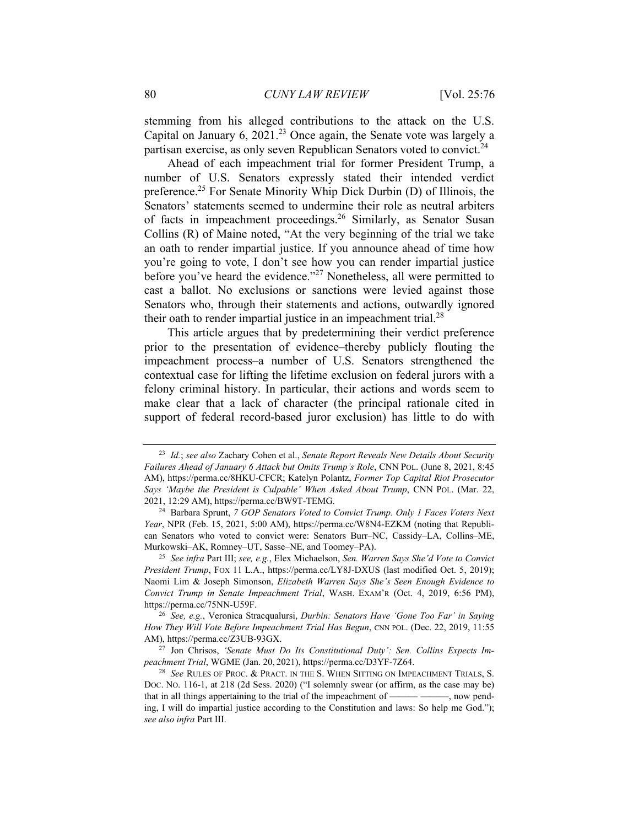stemming from his alleged contributions to the attack on the U.S. Capital on January 6, 2021.<sup>23</sup> Once again, the Senate vote was largely a partisan exercise, as only seven Republican Senators voted to convict.<sup>24</sup>

Ahead of each impeachment trial for former President Trump, a number of U.S. Senators expressly stated their intended verdict preference.25 For Senate Minority Whip Dick Durbin (D) of Illinois, the Senators' statements seemed to undermine their role as neutral arbiters of facts in impeachment proceedings.<sup>26</sup> Similarly, as Senator Susan Collins (R) of Maine noted, "At the very beginning of the trial we take an oath to render impartial justice. If you announce ahead of time how you're going to vote, I don't see how you can render impartial justice before you've heard the evidence."<sup>27</sup> Nonetheless, all were permitted to cast a ballot. No exclusions or sanctions were levied against those Senators who, through their statements and actions, outwardly ignored their oath to render impartial justice in an impeachment trial. $^{28}$ 

This article argues that by predetermining their verdict preference prior to the presentation of evidence–thereby publicly flouting the impeachment process–a number of U.S. Senators strengthened the contextual case for lifting the lifetime exclusion on federal jurors with a felony criminal history. In particular, their actions and words seem to make clear that a lack of character (the principal rationale cited in support of federal record-based juror exclusion) has little to do with

<sup>23</sup> *Id.*; *see also* Zachary Cohen et al., *Senate Report Reveals New Details About Security Failures Ahead of January 6 Attack but Omits Trump's Role*, CNN POL. (June 8, 2021, 8:45 AM), https://perma.cc/8HKU-CFCR; Katelyn Polantz, *Former Top Capital Riot Prosecutor Says 'Maybe the President is Culpable' When Asked About Trump*, CNN POL. (Mar. 22, 2021, 12:29 AM), https://perma.cc/BW9T-TEMG. 24 Barbara Sprunt, *7 GOP Senators Voted to Convict Trump. Only 1 Faces Voters Next* 

*Year*, NPR (Feb. 15, 2021, 5:00 AM), https://perma.cc/W8N4-EZKM (noting that Republican Senators who voted to convict were: Senators Burr–NC, Cassidy–LA, Collins–ME, Murkowski–AK, Romney–UT, Sasse–NE, and Toomey–PA). 25 *See infra* Part III; *see, e.g.*, Elex Michaelson, *Sen. Warren Says She'd Vote to Convict* 

*President Trump*, Fox 11 L.A., https://perma.cc/LY8J-DXUS (last modified Oct. 5, 2019); Naomi Lim & Joseph Simonson, *Elizabeth Warren Says She's Seen Enough Evidence to Convict Trump in Senate Impeachment Trial*, WASH. EXAM'R (Oct. 4, 2019, 6:56 PM), https://perma.cc/75NN-U59F.

<sup>26</sup> *See, e.g.*, Veronica Stracqualursi, *Durbin: Senators Have 'Gone Too Far' in Saying How They Will Vote Before Impeachment Trial Has Begun*, CNN POL. (Dec. 22, 2019, 11:55 AM), https://perma.cc/Z3UB-93GX. 27 Jon Chrisos, *'Senate Must Do Its Constitutional Duty': Sen. Collins Expects Im-*

*peachment Trial*, WGME (Jan. 20, 2021), https://perma.cc/D3YF-7Z64.<br><sup>28</sup> See RULES OF PROC. & PRACT. IN THE S. WHEN SITTING ON IMPEACHMENT TRIALS, S.

DOC. NO. 116-1, at 218 (2d Sess. 2020) ("I solemnly swear (or affirm, as the case may be) that in all things appertaining to the trial of the impeachment of —————, now pending, I will do impartial justice according to the Constitution and laws: So help me God."); *see also infra* Part III.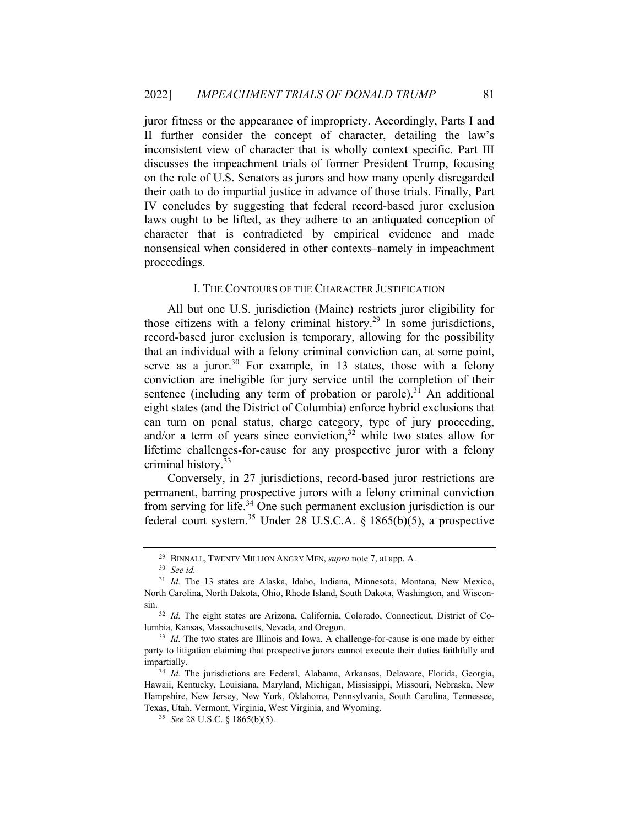juror fitness or the appearance of impropriety. Accordingly, Parts I and II further consider the concept of character, detailing the law's inconsistent view of character that is wholly context specific. Part III discusses the impeachment trials of former President Trump, focusing on the role of U.S. Senators as jurors and how many openly disregarded their oath to do impartial justice in advance of those trials. Finally, Part IV concludes by suggesting that federal record-based juror exclusion laws ought to be lifted, as they adhere to an antiquated conception of character that is contradicted by empirical evidence and made nonsensical when considered in other contexts–namely in impeachment proceedings.

#### I. THE CONTOURS OF THE CHARACTER JUSTIFICATION

All but one U.S. jurisdiction (Maine) restricts juror eligibility for those citizens with a felony criminal history.<sup>29</sup> In some jurisdictions, record-based juror exclusion is temporary, allowing for the possibility that an individual with a felony criminal conviction can, at some point, serve as a juror.<sup>30</sup> For example, in 13 states, those with a felony conviction are ineligible for jury service until the completion of their sentence (including any term of probation or parole).<sup>31</sup> An additional eight states (and the District of Columbia) enforce hybrid exclusions that can turn on penal status, charge category, type of jury proceeding, and/or a term of years since conviction,<sup>32</sup> while two states allow for lifetime challenges-for-cause for any prospective juror with a felony criminal history.33

Conversely, in 27 jurisdictions, record-based juror restrictions are permanent, barring prospective jurors with a felony criminal conviction from serving for life.34 One such permanent exclusion jurisdiction is our federal court system.<sup>35</sup> Under 28 U.S.C.A.  $\S$  1865(b)(5), a prospective

<sup>29</sup> BINNALL, TWENTY MILLION ANGRY MEN, *supra* note 7, at app. A. 30 *See id.*

<sup>31</sup> *Id.* The 13 states are Alaska, Idaho, Indiana, Minnesota, Montana, New Mexico, North Carolina, North Dakota, Ohio, Rhode Island, South Dakota, Washington, and Wiscon-

sin. 32 *Id.* The eight states are Arizona, California, Colorado, Connecticut, District of Columbia, Kansas, Massachusetts, Nevada, and Oregon. 33 *Id.* The two states are Illinois and Iowa. A challenge-for-cause is one made by either

party to litigation claiming that prospective jurors cannot execute their duties faithfully and impartially. 34 *Id.* The jurisdictions are Federal, Alabama, Arkansas, Delaware, Florida, Georgia,

Hawaii, Kentucky, Louisiana, Maryland, Michigan, Mississippi, Missouri, Nebraska, New Hampshire, New Jersey, New York, Oklahoma, Pennsylvania, South Carolina, Tennessee, Texas, Utah, Vermont, Virginia, West Virginia, and Wyoming. 35 *See* 28 U.S.C. § 1865(b)(5).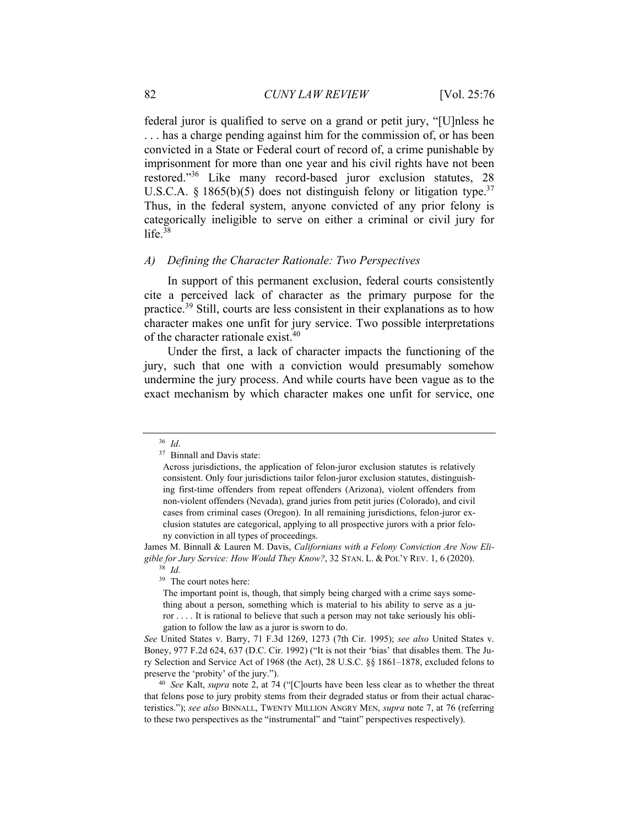federal juror is qualified to serve on a grand or petit jury, "[U]nless he . . . has a charge pending against him for the commission of, or has been convicted in a State or Federal court of record of, a crime punishable by imprisonment for more than one year and his civil rights have not been restored."36 Like many record-based juror exclusion statutes, 28 U.S.C.A. § 1865(b)(5) does not distinguish felony or litigation type.<sup>37</sup> Thus, in the federal system, anyone convicted of any prior felony is categorically ineligible to serve on either a criminal or civil jury for life. $38$ 

# *A) Defining the Character Rationale: Two Perspectives*

In support of this permanent exclusion, federal courts consistently cite a perceived lack of character as the primary purpose for the practice.39 Still, courts are less consistent in their explanations as to how character makes one unfit for jury service. Two possible interpretations of the character rationale exist.<sup>40</sup>

Under the first, a lack of character impacts the functioning of the jury, such that one with a conviction would presumably somehow undermine the jury process. And while courts have been vague as to the exact mechanism by which character makes one unfit for service, one

James M. Binnall & Lauren M. Davis, *Californians with a Felony Conviction Are Now Eligible for Jury Service: How Would They Know?*, 32 STAN. L. & POL'Y REV. 1, 6 (2020). 38 *Id.* 

<sup>36</sup> *Id*.

<sup>37</sup> Binnall and Davis state:

Across jurisdictions, the application of felon-juror exclusion statutes is relatively consistent. Only four jurisdictions tailor felon-juror exclusion statutes, distinguishing first-time offenders from repeat offenders (Arizona), violent offenders from non-violent offenders (Nevada), grand juries from petit juries (Colorado), and civil cases from criminal cases (Oregon). In all remaining jurisdictions, felon-juror exclusion statutes are categorical, applying to all prospective jurors with a prior felony conviction in all types of proceedings.

<sup>39</sup> The court notes here:

The important point is, though, that simply being charged with a crime says something about a person, something which is material to his ability to serve as a juror . . . . It is rational to believe that such a person may not take seriously his obligation to follow the law as a juror is sworn to do.

*See* United States v. Barry, 71 F.3d 1269, 1273 (7th Cir. 1995); *see also* United States v. Boney, 977 F.2d 624, 637 (D.C. Cir. 1992) ("It is not their 'bias' that disables them. The Jury Selection and Service Act of 1968 (the Act), 28 U.S.C. §§ 1861–1878, excluded felons to preserve the 'probity' of the jury."). 40 *See* Kalt, *supra* note 2, at 74 ("[C]ourts have been less clear as to whether the threat

that felons pose to jury probity stems from their degraded status or from their actual characteristics."); *see also* BINNALL, TWENTY MILLION ANGRY MEN, *supra* note 7, at 76 (referring to these two perspectives as the "instrumental" and "taint" perspectives respectively).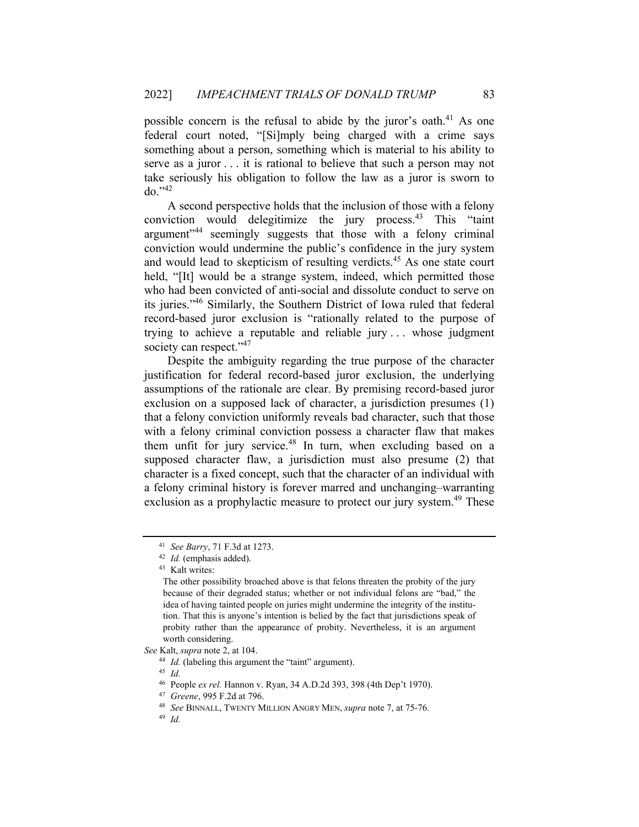possible concern is the refusal to abide by the juror's oath.<sup>41</sup> As one federal court noted, "[Si]mply being charged with a crime says something about a person, something which is material to his ability to serve as a juror . . . it is rational to believe that such a person may not take seriously his obligation to follow the law as a juror is sworn to  $d_0$ ."<sup>42</sup>

A second perspective holds that the inclusion of those with a felony conviction would delegitimize the jury process.43 This "taint argument"44 seemingly suggests that those with a felony criminal conviction would undermine the public's confidence in the jury system and would lead to skepticism of resulting verdicts.<sup>45</sup> As one state court held, "[It] would be a strange system, indeed, which permitted those who had been convicted of anti-social and dissolute conduct to serve on its juries."46 Similarly, the Southern District of Iowa ruled that federal record-based juror exclusion is "rationally related to the purpose of trying to achieve a reputable and reliable jury . . . whose judgment society can respect."<sup>47</sup>

Despite the ambiguity regarding the true purpose of the character justification for federal record-based juror exclusion, the underlying assumptions of the rationale are clear. By premising record-based juror exclusion on a supposed lack of character, a jurisdiction presumes (1) that a felony conviction uniformly reveals bad character, such that those with a felony criminal conviction possess a character flaw that makes them unfit for jury service.<sup>48</sup> In turn, when excluding based on a supposed character flaw, a jurisdiction must also presume (2) that character is a fixed concept, such that the character of an individual with a felony criminal history is forever marred and unchanging–warranting exclusion as a prophylactic measure to protect our jury system.<sup>49</sup> These

<sup>41</sup> *See Barry*, 71 F.3d at 1273. 42 *Id.* (emphasis added). 43 Kalt writes:

The other possibility broached above is that felons threaten the probity of the jury because of their degraded status; whether or not individual felons are "bad," the idea of having tainted people on juries might undermine the integrity of the institution. That this is anyone's intention is belied by the fact that jurisdictions speak of probity rather than the appearance of probity. Nevertheless, it is an argument worth considering.

*See* Kalt, *supra* note 2, at 104. 44 *Id.* (labeling this argument the "taint" argument). 45 *Id.*

<sup>46</sup> People *ex rel.* Hannon v. Ryan, 34 A.D.2d 393, 398 (4th Dep't 1970). 47 *Greene*, 995 F.2d at 796. 48 *See* BINNALL, TWENTY MILLION ANGRY MEN, *supra* note 7, at 75-76. 49 *Id.*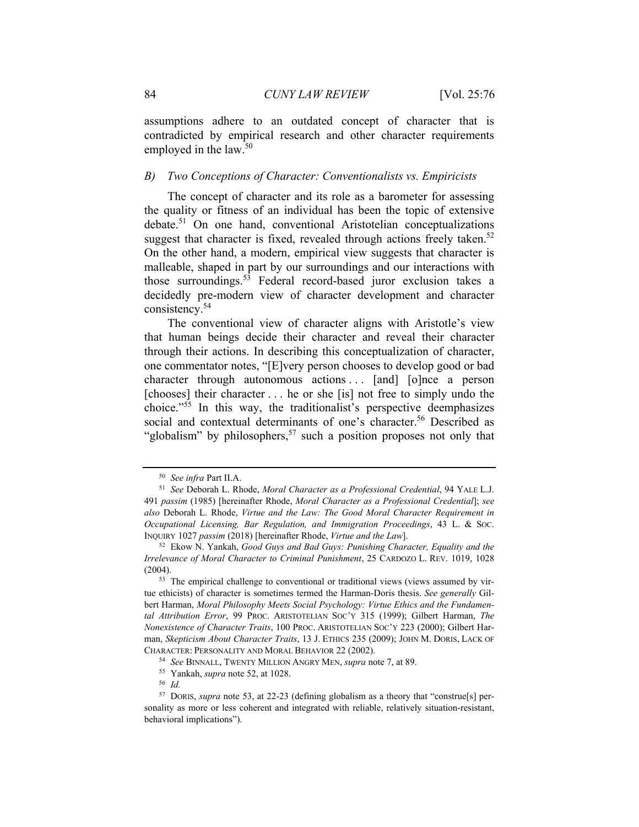assumptions adhere to an outdated concept of character that is contradicted by empirical research and other character requirements employed in the law.<sup>50</sup>

#### *B) Two Conceptions of Character: Conventionalists vs. Empiricists*

The concept of character and its role as a barometer for assessing the quality or fitness of an individual has been the topic of extensive debate.51 On one hand, conventional Aristotelian conceptualizations suggest that character is fixed, revealed through actions freely taken.<sup>52</sup> On the other hand, a modern, empirical view suggests that character is malleable, shaped in part by our surroundings and our interactions with those surroundings.53 Federal record-based juror exclusion takes a decidedly pre-modern view of character development and character consistency.54

The conventional view of character aligns with Aristotle's view that human beings decide their character and reveal their character through their actions. In describing this conceptualization of character, one commentator notes, "[E]very person chooses to develop good or bad character through autonomous actions ... [and] [o]nce a person [chooses] their character . . . he or she [is] not free to simply undo the choice."55 In this way, the traditionalist's perspective deemphasizes social and contextual determinants of one's character.<sup>56</sup> Described as "globalism" by philosophers,  $57$  such a position proposes not only that

<sup>50</sup> *See infra* Part II.A. 51 *See* Deborah L. Rhode, *Moral Character as a Professional Credential*, 94 YALE L.J. 491 *passim* (1985) [hereinafter Rhode, *Moral Character as a Professional Credential*]; *see also* Deborah L. Rhode, *Virtue and the Law: The Good Moral Character Requirement in Occupational Licensing, Bar Regulation, and Immigration Proceedings*, 43 L. & SOC. INQUIRY 1027 *passim* (2018) [hereinafter Rhode, *Virtue and the Law*]. 52 Ekow N. Yankah, *Good Guys and Bad Guys: Punishing Character, Equality and the* 

*Irrelevance of Moral Character to Criminal Punishment*, 25 CARDOZO L. REV. 1019, 1028 (2004).

<sup>&</sup>lt;sup>53</sup> The empirical challenge to conventional or traditional views (views assumed by virtue ethicists) of character is sometimes termed the Harman-Doris thesis. *See generally* Gilbert Harman, *Moral Philosophy Meets Social Psychology: Virtue Ethics and the Fundamental Attribution Error*, 99 PROC. ARISTOTELIAN SOC'Y 315 (1999); Gilbert Harman, *The Nonexistence of Character Traits*, 100 PROC. ARISTOTELIAN SOC'Y 223 (2000); Gilbert Harman, *Skepticism About Character Traits*, 13 J. ETHICS 235 (2009); JOHN M. DORIS, LACK OF CHARACTER: PERSONALITY AND MORAL BEHAVIOR 22 (2002). 54 *See* BINNALL, TWENTY MILLION ANGRY MEN, *supra* note 7, at 89. 55 Yankah, *supra* note 52, at 1028. 56 *Id.* 

<sup>57</sup> DORIS, *supra* note 53, at 22-23 (defining globalism as a theory that "construe[s] personality as more or less coherent and integrated with reliable, relatively situation-resistant, behavioral implications").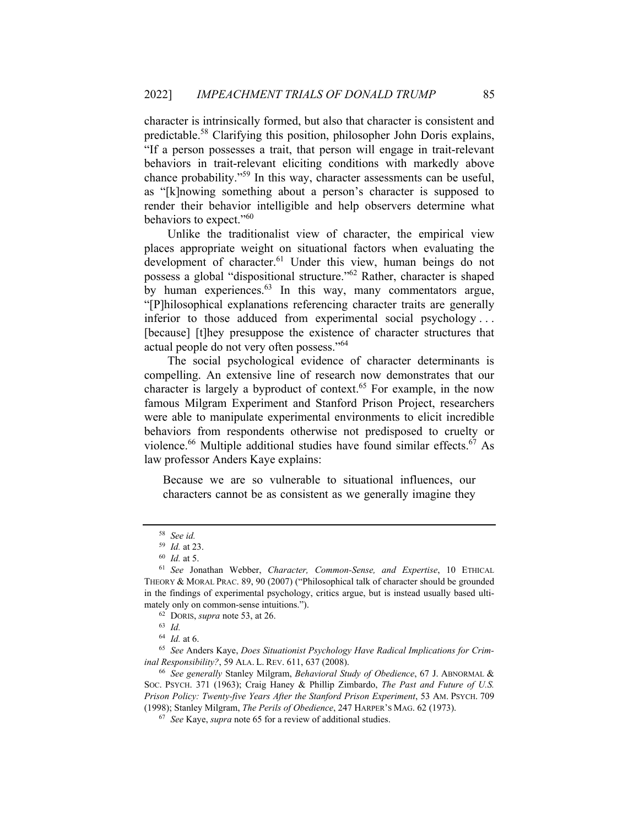character is intrinsically formed, but also that character is consistent and predictable.58 Clarifying this position, philosopher John Doris explains, "If a person possesses a trait, that person will engage in trait-relevant behaviors in trait-relevant eliciting conditions with markedly above chance probability."59 In this way, character assessments can be useful, as "[k]nowing something about a person's character is supposed to render their behavior intelligible and help observers determine what behaviors to expect."<sup>60</sup>

Unlike the traditionalist view of character, the empirical view places appropriate weight on situational factors when evaluating the development of character.<sup>61</sup> Under this view, human beings do not possess a global "dispositional structure."62 Rather, character is shaped by human experiences. $63$  In this way, many commentators argue, "[P]hilosophical explanations referencing character traits are generally inferior to those adduced from experimental social psychology . . . [because] [t]hey presuppose the existence of character structures that actual people do not very often possess."64

The social psychological evidence of character determinants is compelling. An extensive line of research now demonstrates that our character is largely a byproduct of context.<sup>65</sup> For example, in the now famous Milgram Experiment and Stanford Prison Project, researchers were able to manipulate experimental environments to elicit incredible behaviors from respondents otherwise not predisposed to cruelty or violence.<sup>66</sup> Multiple additional studies have found similar effects.<sup>67</sup> As law professor Anders Kaye explains:

Because we are so vulnerable to situational influences, our characters cannot be as consistent as we generally imagine they

<sup>65</sup> See Anders Kaye, Does Situationist Psychology Have Radical Implications for Crim*inal Responsibility?*, 59 ALA. L. REV. 611, 637 (2008).<br><sup>66</sup> See generally Stanley Milgram, *Behavioral Study of Obedience*, 67 J. ABNORMAL &

SOC. PSYCH. 371 (1963); Craig Haney & Phillip Zimbardo, *The Past and Future of U.S. Prison Policy: Twenty-five Years After the Stanford Prison Experiment*, 53 AM. PSYCH. 709 (1998); Stanley Milgram, *The Perils of Obedience*, 247 HARPER'S MAG. 62 (1973). 67 *See* Kaye, *supra* note 65 for a review of additional studies.

<sup>58</sup> *See id.*

<sup>59</sup> *Id.* at 23. 60 *Id.* at 5. 61 *See* Jonathan Webber, *Character, Common-Sense, and Expertise*, 10 ETHICAL THEORY & MORAL PRAC. 89, 90 (2007) ("Philosophical talk of character should be grounded in the findings of experimental psychology, critics argue, but is instead usually based ultimately only on common-sense intuitions.").<br>
<sup>62</sup> DORIS, *supra* note 53, at 26.<br>
<sup>63</sup> *Id.*<br>
<sup>64</sup> *Id.* at 6.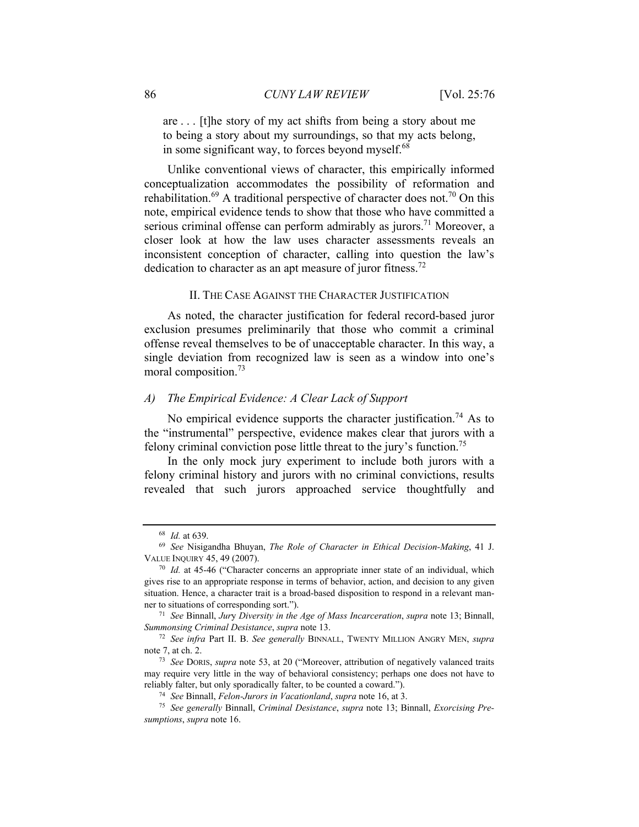are . . . [t]he story of my act shifts from being a story about me to being a story about my surroundings, so that my acts belong, in some significant way, to forces beyond myself.<sup>68</sup>

Unlike conventional views of character, this empirically informed conceptualization accommodates the possibility of reformation and rehabilitation.<sup>69</sup> A traditional perspective of character does not.<sup>70</sup> On this note, empirical evidence tends to show that those who have committed a serious criminal offense can perform admirably as jurors.<sup>71</sup> Moreover, a closer look at how the law uses character assessments reveals an inconsistent conception of character, calling into question the law's dedication to character as an apt measure of juror fitness.<sup>72</sup>

#### II. THE CASE AGAINST THE CHARACTER JUSTIFICATION

As noted, the character justification for federal record-based juror exclusion presumes preliminarily that those who commit a criminal offense reveal themselves to be of unacceptable character. In this way, a single deviation from recognized law is seen as a window into one's moral composition.<sup>73</sup>

# *A) The Empirical Evidence: A Clear Lack of Support*

No empirical evidence supports the character justification.<sup>74</sup> As to the "instrumental" perspective, evidence makes clear that jurors with a felony criminal conviction pose little threat to the jury's function.75

In the only mock jury experiment to include both jurors with a felony criminal history and jurors with no criminal convictions, results revealed that such jurors approached service thoughtfully and

<sup>68</sup> *Id.* at 639. 69 *See* Nisigandha Bhuyan, *The Role of Character in Ethical Decision-Making*, 41 J. VALUE INQUIRY 45, 49 (2007).<br><sup>70</sup> *Id.* at 45-46 ("Character concerns an appropriate inner state of an individual, which

gives rise to an appropriate response in terms of behavior, action, and decision to any given situation. Hence, a character trait is a broad-based disposition to respond in a relevant manner to situations of corresponding sort."). 71 *See* Binnall, *Jur*y *Diversity in the Age of Mass Incarceration*, *supra* note 13; Binnall,

*Summonsing Criminal Desistance, supra* note 13.<br><sup>72</sup> *See infra Part II. B. See generally BINNALL, TWENTY MILLION ANGRY MEN, <i>supra* 

note 7, at ch. 2.<br><sup>73</sup> See DORIS, *supra* note 53, at 20 ("Moreover, attribution of negatively valanced traits

may require very little in the way of behavioral consistency; perhaps one does not have to reliably falter, but only sporadically falter, to be counted a coward.").<br><sup>74</sup> See Binnall, *Felon-Jurors in Vacationland*, *supra* note 16, at 3.<br><sup>75</sup> See generally Binnall, *Criminal Desistance*, *supra* note 13; Binnall

*sumptions*, *supra* note 16.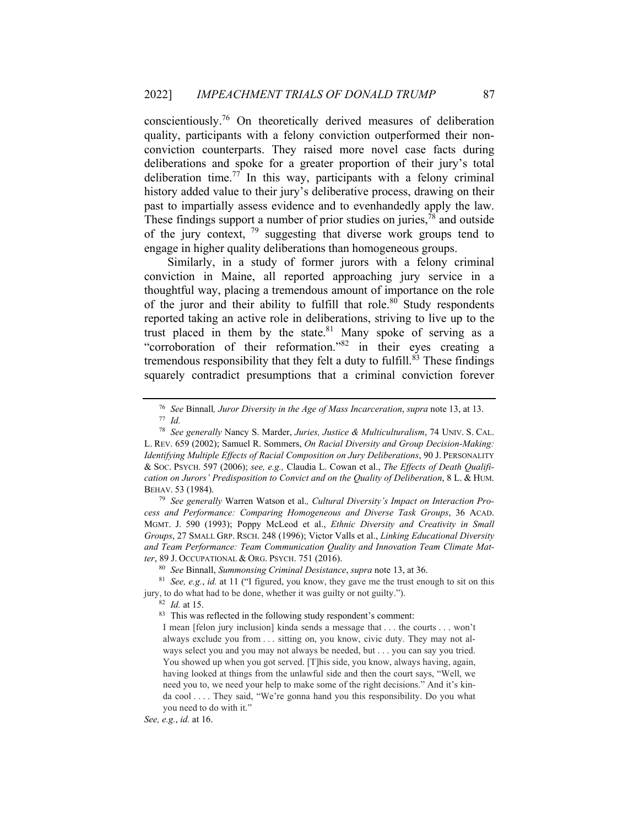conscientiously.76 On theoretically derived measures of deliberation quality, participants with a felony conviction outperformed their nonconviction counterparts. They raised more novel case facts during deliberations and spoke for a greater proportion of their jury's total deliberation time.<sup>77</sup> In this way, participants with a felony criminal history added value to their jury's deliberative process, drawing on their past to impartially assess evidence and to evenhandedly apply the law. These findings support a number of prior studies on juries,  $^{78}$  and outside of the jury context,  $\frac{79}{9}$  suggesting that diverse work groups tend to engage in higher quality deliberations than homogeneous groups.

Similarly, in a study of former jurors with a felony criminal conviction in Maine, all reported approaching jury service in a thoughtful way, placing a tremendous amount of importance on the role of the juror and their ability to fulfill that role.<sup>80</sup> Study respondents reported taking an active role in deliberations, striving to live up to the trust placed in them by the state. $81$  Many spoke of serving as a "corroboration of their reformation."82 in their eyes creating a tremendous responsibility that they felt a duty to fulfill. $83$  These findings squarely contradict presumptions that a criminal conviction forever

*cess and Performance: Comparing Homogeneous and Diverse Task Groups*, 36 ACAD. MGMT. J. 590 (1993); Poppy McLeod et al., *Ethnic Diversity and Creativity in Small Groups*, 27 SMALL GRP. RSCH. 248 (1996); Victor Valls et al., *Linking Educational Diversity and Team Performance: Team Communication Quality and Innovation Team Climate Mat-*

*ter*, 89 J. OCCUPATIONAL & ORG. PSYCH. 751 (2016).<br><sup>80</sup> *See* Binnall, *Summonsing Criminal Desistance*, *supra* note 13, at 36.<br><sup>81</sup> *See*, *e.g.*, *id.* at 11 ("I figured, you know, they gave me the trust enough to sit

<sup>82</sup> *Id.* at 15. 83 This was reflected in the following study respondent's comment:

<sup>76</sup> *See* Binnall*, Juror Diversity in the Age of Mass Incarceration*, *supra* note 13, at 13. 77 *Id.*

<sup>78</sup> *See generally* Nancy S. Marder, *Juries, Justice & Multiculturalism*, 74 UNIV. S. CAL. L. REV. 659 (2002); Samuel R. Sommers, *On Racial Diversity and Group Decision-Making: Identifying Multiple Effects of Racial Composition on Jury Deliberations*, 90 J. PERSONALITY & SOC. PSYCH. 597 (2006); *see, e.g.,* Claudia L. Cowan et al., *The Effects of Death Qualification on Jurors' Predisposition to Convict and on the Quality of Deliberation*, 8 L. & HUM. BEHAV. 53 (1984). 79 *See generally* Warren Watson et al.*, Cultural Diversity's Impact on Interaction Pro-*

I mean [felon jury inclusion] kinda sends a message that . . . the courts . . . won't always exclude you from . . . sitting on, you know, civic duty. They may not always select you and you may not always be needed, but . . . you can say you tried. You showed up when you got served. [T]his side, you know, always having, again, having looked at things from the unlawful side and then the court says, "Well, we need you to, we need your help to make some of the right decisions." And it's kinda cool . . . . They said, "We're gonna hand you this responsibility. Do you what you need to do with it."

*See, e.g.*, *id.* at 16.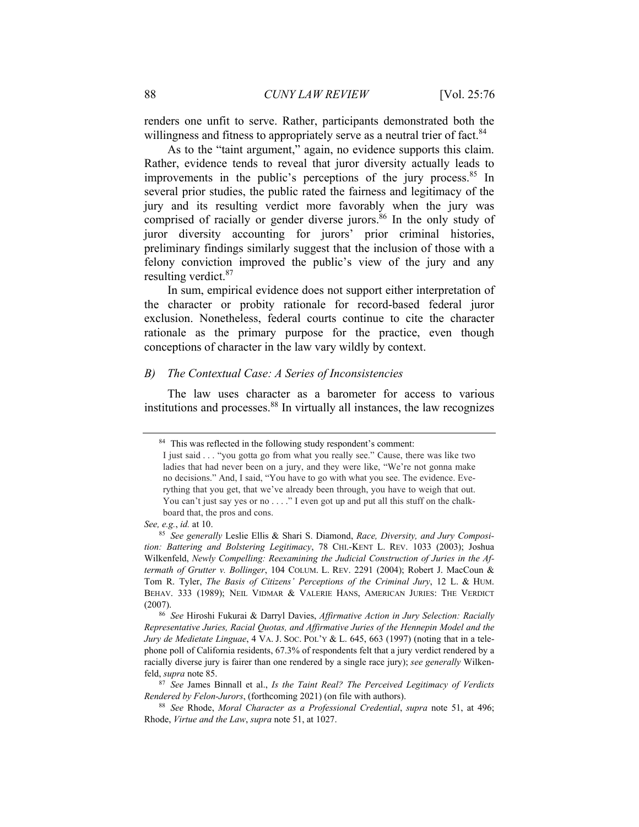renders one unfit to serve. Rather, participants demonstrated both the willingness and fitness to appropriately serve as a neutral trier of fact.<sup>84</sup>

As to the "taint argument," again, no evidence supports this claim. Rather, evidence tends to reveal that juror diversity actually leads to improvements in the public's perceptions of the jury process.<sup>85</sup> In several prior studies, the public rated the fairness and legitimacy of the jury and its resulting verdict more favorably when the jury was comprised of racially or gender diverse jurors.<sup>86</sup> In the only study of juror diversity accounting for jurors' prior criminal histories, preliminary findings similarly suggest that the inclusion of those with a felony conviction improved the public's view of the jury and any resulting verdict.<sup>87</sup>

In sum, empirical evidence does not support either interpretation of the character or probity rationale for record-based federal juror exclusion. Nonetheless, federal courts continue to cite the character rationale as the primary purpose for the practice, even though conceptions of character in the law vary wildly by context.

# *B) The Contextual Case: A Series of Inconsistencies*

The law uses character as a barometer for access to various institutions and processes.<sup>88</sup> In virtually all instances, the law recognizes

<sup>84</sup> This was reflected in the following study respondent's comment:

I just said . . . "you gotta go from what you really see." Cause, there was like two ladies that had never been on a jury, and they were like, "We're not gonna make no decisions." And, I said, "You have to go with what you see. The evidence. Everything that you get, that we've already been through, you have to weigh that out. You can't just say yes or no . . . ." I even got up and put all this stuff on the chalkboard that, the pros and cons.

*See, e.g.*, *id.* at 10.

<sup>85</sup> *See generally* Leslie Ellis & Shari S. Diamond, *Race, Diversity, and Jury Composition: Battering and Bolstering Legitimacy*, 78 CHI.-KENT L. REV. 1033 (2003); Joshua Wilkenfeld, *Newly Compelling: Reexamining the Judicial Construction of Juries in the Aftermath of Grutter v. Bollinger*, 104 COLUM. L. REV. 2291 (2004); Robert J. MacCoun & Tom R. Tyler, *The Basis of Citizens' Perceptions of the Criminal Jury*, 12 L. & HUM. BEHAV. 333 (1989); NEIL VIDMAR & VALERIE HANS, AMERICAN JURIES: THE VERDICT (2007). 86 *See* Hiroshi Fukurai & Darryl Davies, *Affirmative Action in Jury Selection: Racially* 

*Representative Juries, Racial Quotas, and Affirmative Juries of the Hennepin Model and the Jury de Medietate Linguae*, 4 VA. J. Soc. PoL'Y & L. 645, 663 (1997) (noting that in a telephone poll of California residents, 67.3% of respondents felt that a jury verdict rendered by a racially diverse jury is fairer than one rendered by a single race jury); *see generally* Wilkenfeld, *supra* note 85. 87 *See* James Binnall et al., *Is the Taint Real? The Perceived Legitimacy of Verdicts* 

*Rendered by Felon-Jurors*, (forthcoming 2021) (on file with authors). 88 *See* Rhode, *Moral Character as a Professional Credential*, *supra* note 51, at 496;

Rhode, *Virtue and the Law*, *supra* note 51, at 1027.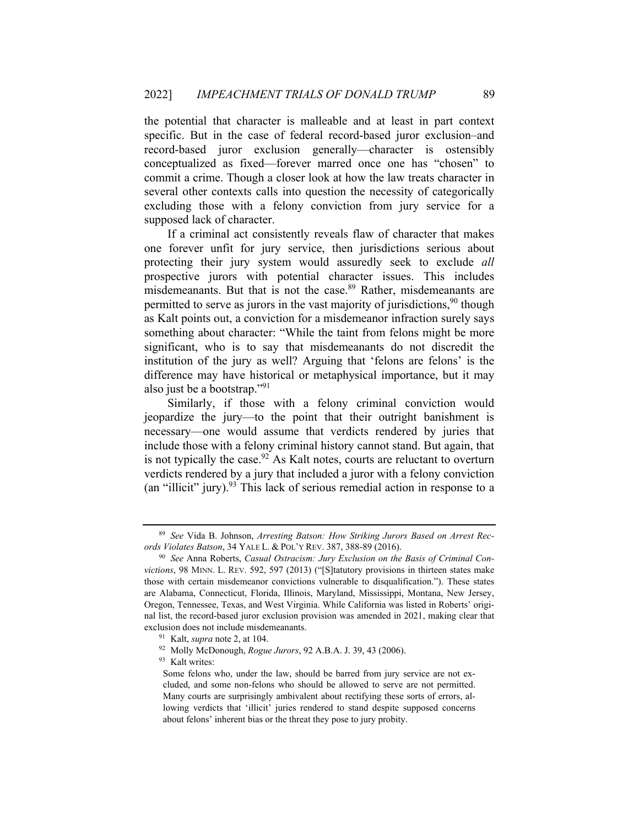the potential that character is malleable and at least in part context specific. But in the case of federal record-based juror exclusion–and record-based juror exclusion generally—character is ostensibly conceptualized as fixed—forever marred once one has "chosen" to commit a crime. Though a closer look at how the law treats character in several other contexts calls into question the necessity of categorically excluding those with a felony conviction from jury service for a supposed lack of character.

If a criminal act consistently reveals flaw of character that makes one forever unfit for jury service, then jurisdictions serious about protecting their jury system would assuredly seek to exclude *all*  prospective jurors with potential character issues. This includes misdemeanants. But that is not the case.<sup>89</sup> Rather, misdemeanants are permitted to serve as jurors in the vast majority of jurisdictions,  $90$  though as Kalt points out, a conviction for a misdemeanor infraction surely says something about character: "While the taint from felons might be more significant, who is to say that misdemeanants do not discredit the institution of the jury as well? Arguing that 'felons are felons' is the difference may have historical or metaphysical importance, but it may also just be a bootstrap."91

Similarly, if those with a felony criminal conviction would jeopardize the jury—to the point that their outright banishment is necessary—one would assume that verdicts rendered by juries that include those with a felony criminal history cannot stand. But again, that is not typically the case.<sup>92</sup> As Kalt notes, courts are reluctant to overturn verdicts rendered by a jury that included a juror with a felony conviction (an "illicit" jury).<sup>93</sup> This lack of serious remedial action in response to a

<sup>89</sup> *See* Vida B. Johnson, *Arresting Batson: How Striking Jurors Based on Arrest Rec*ords Violates Batson, 34 YALE L. & POL'Y REV. 387, 388-89 (2016).<br><sup>90</sup> See Anna Roberts, *Casual Ostracism: Jury Exclusion on the Basis of Criminal Con-*

*victions*, 98 MINN. L. REV. 592, 597 (2013) ("[S]tatutory provisions in thirteen states make those with certain misdemeanor convictions vulnerable to disqualification."). These states are Alabama, Connecticut, Florida, Illinois, Maryland, Mississippi, Montana, New Jersey, Oregon, Tennessee, Texas, and West Virginia. While California was listed in Roberts' original list, the record-based juror exclusion provision was amended in 2021, making clear that exclusion does not include misdemeanants.

<sup>91</sup> Kalt, *supra* note 2, at 104. 92 Molly McDonough, *Rogue Jurors*, 92 A.B.A. J. 39, 43 (2006). 93 Kalt writes:

Some felons who, under the law, should be barred from jury service are not excluded, and some non-felons who should be allowed to serve are not permitted. Many courts are surprisingly ambivalent about rectifying these sorts of errors, allowing verdicts that 'illicit' juries rendered to stand despite supposed concerns about felons' inherent bias or the threat they pose to jury probity.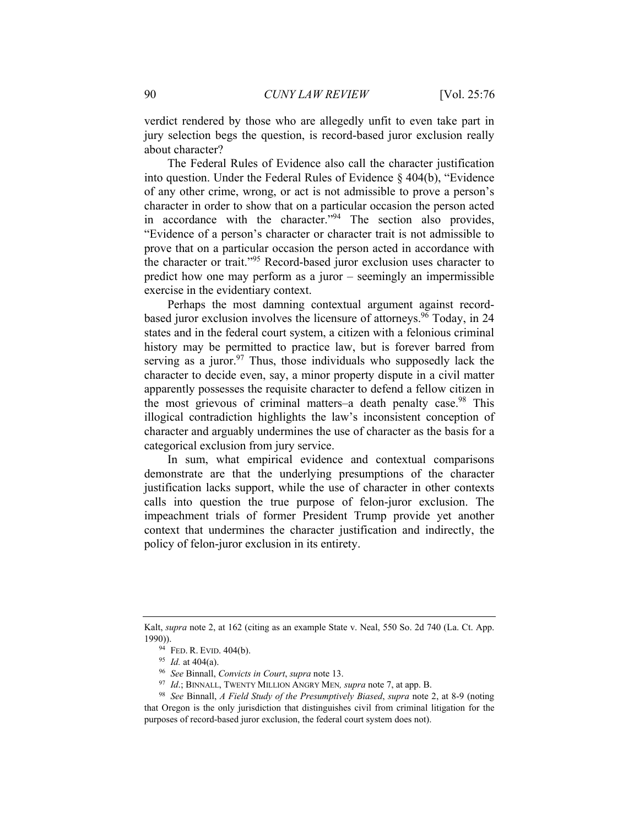verdict rendered by those who are allegedly unfit to even take part in jury selection begs the question, is record-based juror exclusion really about character?

The Federal Rules of Evidence also call the character justification into question. Under the Federal Rules of Evidence § 404(b), "Evidence of any other crime, wrong, or act is not admissible to prove a person's character in order to show that on a particular occasion the person acted in accordance with the character."<sup>94</sup> The section also provides, "Evidence of a person's character or character trait is not admissible to prove that on a particular occasion the person acted in accordance with the character or trait."95 Record-based juror exclusion uses character to predict how one may perform as a juror – seemingly an impermissible exercise in the evidentiary context.

Perhaps the most damning contextual argument against recordbased juror exclusion involves the licensure of attorneys.<sup>96</sup> Today, in 24 states and in the federal court system, a citizen with a felonious criminal history may be permitted to practice law, but is forever barred from serving as a juror. <sup>97</sup> Thus, those individuals who supposedly lack the character to decide even, say, a minor property dispute in a civil matter apparently possesses the requisite character to defend a fellow citizen in the most grievous of criminal matters–a death penalty case.<sup>98</sup> This illogical contradiction highlights the law's inconsistent conception of character and arguably undermines the use of character as the basis for a categorical exclusion from jury service.

In sum, what empirical evidence and contextual comparisons demonstrate are that the underlying presumptions of the character justification lacks support, while the use of character in other contexts calls into question the true purpose of felon-juror exclusion. The impeachment trials of former President Trump provide yet another context that undermines the character justification and indirectly, the policy of felon-juror exclusion in its entirety.

Kalt, *supra* note 2, at 162 (citing as an example State v. Neal, 550 So. 2d 740 (La. Ct. App. 1990)).

<sup>94</sup> FED. R. EVID. 404(b). 95 *Id.* at 404(a). 96 *See* Binnall, *Convicts in Court*, *supra* note 13. 97 *Id*.; BINNALL, TWENTY MILLION ANGRY MEN*, supra* note 7, at app. B.

<sup>98</sup> *See* Binnall, *A Field Study of the Presumptively Biased*, *supra* note 2, at 8-9 (noting that Oregon is the only jurisdiction that distinguishes civil from criminal litigation for the purposes of record-based juror exclusion, the federal court system does not).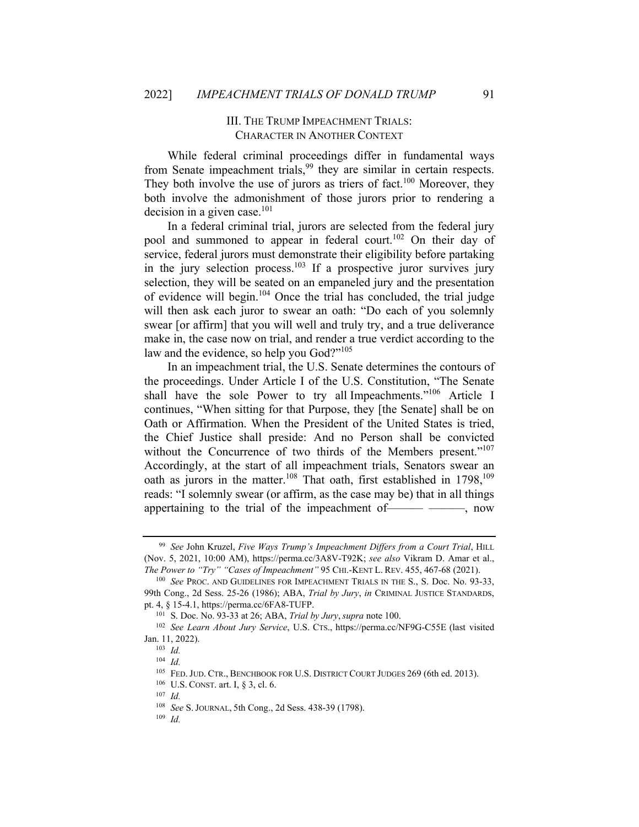# III. THE TRUMP IMPEACHMENT TRIALS: CHARACTER IN ANOTHER CONTEXT

While federal criminal proceedings differ in fundamental ways from Senate impeachment trials,<sup>99</sup> they are similar in certain respects. They both involve the use of jurors as triers of fact.<sup>100</sup> Moreover, they both involve the admonishment of those jurors prior to rendering a decision in a given case. $101$ 

In a federal criminal trial, jurors are selected from the federal jury pool and summoned to appear in federal court.<sup>102</sup> On their day of service, federal jurors must demonstrate their eligibility before partaking in the jury selection process.<sup>103</sup> If a prospective juror survives jury selection, they will be seated on an empaneled jury and the presentation of evidence will begin.104 Once the trial has concluded, the trial judge will then ask each juror to swear an oath: "Do each of you solemnly swear [or affirm] that you will well and truly try, and a true deliverance make in, the case now on trial, and render a true verdict according to the law and the evidence, so help you God?"<sup>105</sup>

In an impeachment trial, the U.S. Senate determines the contours of the proceedings. Under Article I of the U.S. Constitution, "The Senate shall have the sole Power to try all Impeachments."<sup>106</sup> Article I continues, "When sitting for that Purpose, they [the Senate] shall be on Oath or Affirmation. When the President of the United States is tried, the Chief Justice shall preside: And no Person shall be convicted without the Concurrence of two thirds of the Members present."<sup>107</sup> Accordingly, at the start of all impeachment trials, Senators swear an oath as jurors in the matter.<sup>108</sup> That oath, first established in  $1798$ ,<sup>109</sup> reads: "I solemnly swear (or affirm, as the case may be) that in all things appertaining to the trial of the impeachment of—————, now

<sup>99</sup> *See* John Kruzel, *Five Ways Trump's Impeachment Differs from a Court Trial*, HILL (Nov. 5, 2021, 10:00 AM), https://perma.cc/3A8V-T92K; *see also* Vikram D. Amar et al., *The Power to "Try" "Cases of Impeachment"* 95 CHI.-KENT L. REV. 455, 467-68 (2021).

<sup>100</sup> *See* PROC. AND GUIDELINES FOR IMPEACHMENT TRIALS IN THE S., S. Doc. No. 93-33, 99th Cong., 2d Sess. 25-26 (1986); ABA, *Trial by Jury*, *in* CRIMINAL JUSTICE STANDARDS, pt. 4, § 15-4.1, https://perma.cc/6FA8-TUFP.<br><sup>101</sup> S. Doc. No. 93-33 at 26; ABA, *Trial by Jury*, *supra* note 100.<br><sup>102</sup> *See Learn About Jury Service*, U.S. CTS., https://perma.cc/NF9G-C55E (last visited

Jan. 11, 2022).

<sup>103</sup> *Id.*

<sup>104</sup> *Id.*

<sup>&</sup>lt;sup>105</sup> FED. JUD. CTR., BENCHBOOK FOR U.S. DISTRICT COURT JUDGES 269 (6th ed. 2013). <sup>106</sup> U.S. CONST. art. I, § 3, cl. 6. <sup>107</sup> *Id* 

<sup>108</sup> *See* S. JOURNAL, 5th Cong., 2d Sess. 438-39 (1798). 109 *Id.*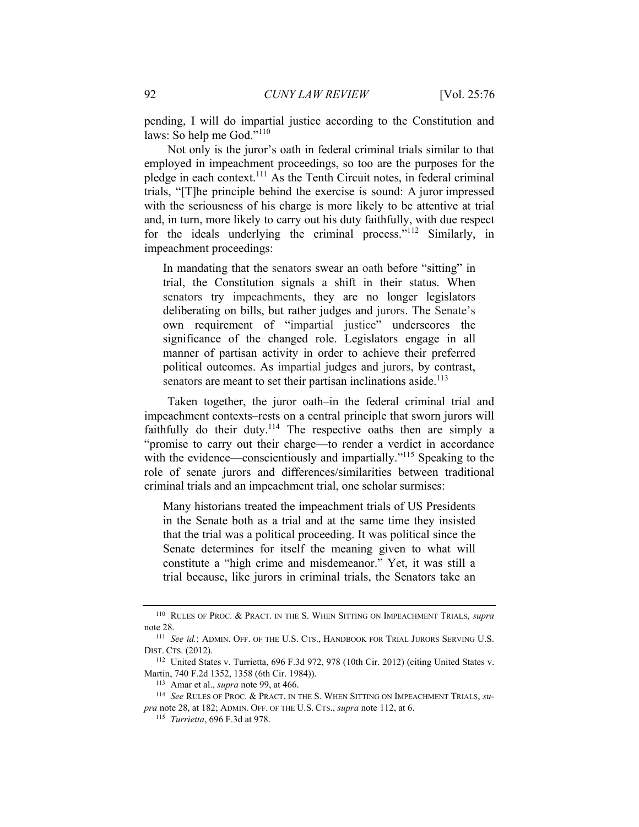pending, I will do impartial justice according to the Constitution and laws: So help me God."<sup>110</sup>

Not only is the juror's oath in federal criminal trials similar to that employed in impeachment proceedings, so too are the purposes for the pledge in each context.<sup>111</sup> As the Tenth Circuit notes, in federal criminal trials, "[T]he principle behind the exercise is sound: A juror impressed with the seriousness of his charge is more likely to be attentive at trial and, in turn, more likely to carry out his duty faithfully, with due respect for the ideals underlying the criminal process."<sup>112</sup> Similarly, in impeachment proceedings:

In mandating that the senators swear an oath before "sitting" in trial, the Constitution signals a shift in their status. When senators try impeachments, they are no longer legislators deliberating on bills, but rather judges and jurors. The Senate's own requirement of "impartial justice" underscores the significance of the changed role. Legislators engage in all manner of partisan activity in order to achieve their preferred political outcomes. As impartial judges and jurors, by contrast, senators are meant to set their partisan inclinations aside.<sup>113</sup>

Taken together, the juror oath–in the federal criminal trial and impeachment contexts–rests on a central principle that sworn jurors will faithfully do their duty.<sup>114</sup> The respective oaths then are simply a "promise to carry out their charge—to render a verdict in accordance with the evidence—conscientiously and impartially."<sup>115</sup> Speaking to the role of senate jurors and differences/similarities between traditional criminal trials and an impeachment trial, one scholar surmises:

Many historians treated the impeachment trials of US Presidents in the Senate both as a trial and at the same time they insisted that the trial was a political proceeding. It was political since the Senate determines for itself the meaning given to what will constitute a "high crime and misdemeanor." Yet, it was still a trial because, like jurors in criminal trials, the Senators take an

<sup>110</sup> RULES OF PROC. & PRACT. IN THE S. WHEN SITTING ON IMPEACHMENT TRIALS, *supra* note 28. 111 *See id.*; ADMIN. OFF. OF THE U.S. CTS., HANDBOOK FOR TRIAL JURORS SERVING U.S.

DIST. CTS. (2012). 112 United States v. Turrietta, 696 F.3d 972, 978 (10th Cir. 2012) (citing United States v.

Martin, 740 F.2d 1352, 1358 (6th Cir. 1984)).

<sup>&</sup>lt;sup>113</sup> Amar et al., *supra* note 99, at 466.<br><sup>114</sup> See RULES OF PROC. & PRACT. IN THE S. WHEN SITTING ON IMPEACHMENT TRIALS, *supra* note 28, at 182; ADMIN. OFF. OF THE U.S. CTS., *supra* note 112, at 6. 115 *Turrietta*, 696 F.3d at 978.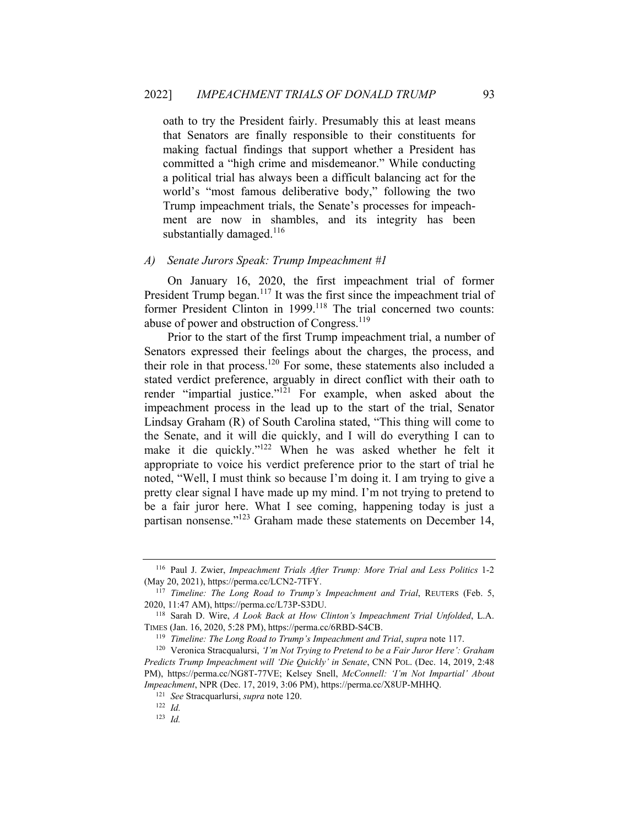oath to try the President fairly. Presumably this at least means that Senators are finally responsible to their constituents for making factual findings that support whether a President has committed a "high crime and misdemeanor." While conducting a political trial has always been a difficult balancing act for the world's "most famous deliberative body," following the two Trump impeachment trials, the Senate's processes for impeachment are now in shambles, and its integrity has been substantially damaged.<sup>116</sup>

#### *A) Senate Jurors Speak: Trump Impeachment #1*

On January 16, 2020, the first impeachment trial of former President Trump began.<sup>117</sup> It was the first since the impeachment trial of former President Clinton in 1999.<sup>118</sup> The trial concerned two counts: abuse of power and obstruction of Congress.<sup>119</sup>

Prior to the start of the first Trump impeachment trial, a number of Senators expressed their feelings about the charges, the process, and their role in that process.<sup>120</sup> For some, these statements also included a stated verdict preference, arguably in direct conflict with their oath to render "impartial justice." $1^{121}$  For example, when asked about the impeachment process in the lead up to the start of the trial, Senator Lindsay Graham (R) of South Carolina stated, "This thing will come to the Senate, and it will die quickly, and I will do everything I can to make it die quickly."122 When he was asked whether he felt it appropriate to voice his verdict preference prior to the start of trial he noted, "Well, I must think so because I'm doing it. I am trying to give a pretty clear signal I have made up my mind. I'm not trying to pretend to be a fair juror here. What I see coming, happening today is just a partisan nonsense."123 Graham made these statements on December 14,

<sup>116</sup> Paul J. Zwier, *Impeachment Trials After Trump: More Trial and Less Politics* 1-2 (May 20, 2021), https://perma.cc/LCN2-7TFY.

<sup>117</sup> *Timeline: The Long Road to Trump's Impeachment and Trial*, REUTERS (Feb. 5, 2020, 11:47 AM), https://perma.cc/L73P-S3DU. 118 Sarah D. Wire, *A Look Back at How Clinton's Impeachment Trial Unfolded*, L.A.

TIMES (Jan. 16, 2020, 5:28 PM), https://perma.cc/6RBD-S4CB.<br><sup>119</sup> *Timeline: The Long Road to Trump's Impeachment and Trial, supra* note 117.<br><sup>120</sup> Veronica Stracqualursi, *'I'm Not Trying to Pretend to be a Fair Juror Her* 

*Predicts Trump Impeachment will 'Die Quickly' in Senate*, CNN POL. (Dec. 14, 2019, 2:48 PM), https://perma.cc/NG8T-77VE; Kelsey Snell, *McConnell: 'I'm Not Impartial' About Impeachment*, NPR (Dec. 17, 2019, 3:06 PM), https://perma.cc/X8UP-MHHQ. 121 *See* Stracquarlursi, *supra* note 120. 122 *Id.*

<sup>123</sup> *Id.*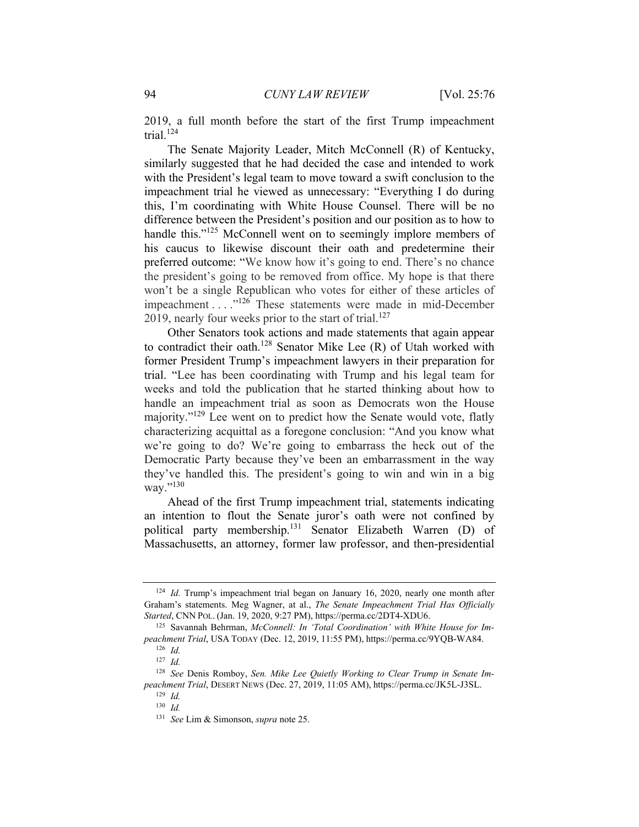2019, a full month before the start of the first Trump impeachment trial. $124$ 

The Senate Majority Leader, Mitch McConnell (R) of Kentucky, similarly suggested that he had decided the case and intended to work with the President's legal team to move toward a swift conclusion to the impeachment trial he viewed as unnecessary: "Everything I do during this, I'm coordinating with White House Counsel. There will be no difference between the President's position and our position as to how to handle this."<sup>125</sup> McConnell went on to seemingly implore members of his caucus to likewise discount their oath and predetermine their preferred outcome: "We know how it's going to end. There's no chance the president's going to be removed from office. My hope is that there won't be a single Republican who votes for either of these articles of impeachment . . . . "<sup>126</sup> These statements were made in mid-December 2019, nearly four weeks prior to the start of trial.<sup>127</sup>

Other Senators took actions and made statements that again appear to contradict their oath.128 Senator Mike Lee (R) of Utah worked with former President Trump's impeachment lawyers in their preparation for trial. "Lee has been coordinating with Trump and his legal team for weeks and told the publication that he started thinking about how to handle an impeachment trial as soon as Democrats won the House majority."129 Lee went on to predict how the Senate would vote, flatly characterizing acquittal as a foregone conclusion: "And you know what we're going to do? We're going to embarrass the heck out of the Democratic Party because they've been an embarrassment in the way they've handled this. The president's going to win and win in a big way."<sup>130</sup>

Ahead of the first Trump impeachment trial, statements indicating an intention to flout the Senate juror's oath were not confined by political party membership.131 Senator Elizabeth Warren (D) of Massachusetts, an attorney, former law professor, and then-presidential

<sup>124</sup> *Id.* Trump's impeachment trial began on January 16, 2020, nearly one month after Graham's statements. Meg Wagner, at al., *The Senate Impeachment Trial Has Officially Started*, CNN POL. (Jan. 19, 2020, 9:27 PM), https://perma.cc/2DT4-XDU6. 125 Savannah Behrman, *McConnell: In 'Total Coordination' with White House for Im-*

*peachment Trial*, USA TODAY (Dec. 12, 2019, 11:55 PM), https://perma.cc/9YQB-WA84.  $126$  *Id.* 

<sup>127</sup> *Id.* 

<sup>128</sup> *See* Denis Romboy, *Sen. Mike Lee Quietly Working to Clear Trump in Senate Impeachment Trial*, DESERT NEWS (Dec. 27, 2019, 11:05 AM), https://perma.cc/JK5L-J3SL. 129 *Id.* 

<sup>130</sup> *Id.* 

<sup>131</sup> *See* Lim & Simonson, *supra* note 25.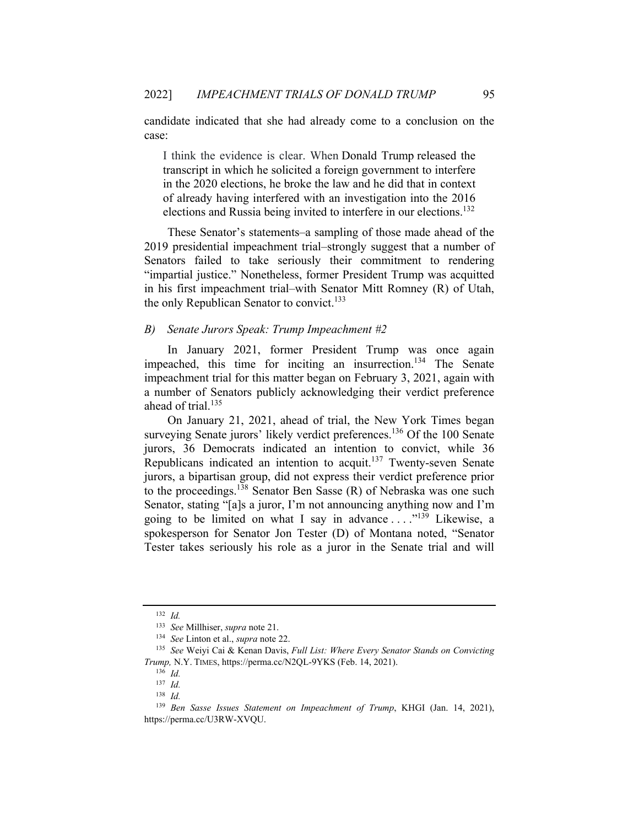candidate indicated that she had already come to a conclusion on the case:

I think the evidence is clear. When Donald Trump released the transcript in which he solicited a foreign government to interfere in the 2020 elections, he broke the law and he did that in context of already having interfered with an investigation into the 2016 elections and Russia being invited to interfere in our elections.132

These Senator's statements–a sampling of those made ahead of the 2019 presidential impeachment trial–strongly suggest that a number of Senators failed to take seriously their commitment to rendering "impartial justice." Nonetheless, former President Trump was acquitted in his first impeachment trial–with Senator Mitt Romney (R) of Utah, the only Republican Senator to convict.<sup>133</sup>

# *B) Senate Jurors Speak: Trump Impeachment #2*

In January 2021, former President Trump was once again impeached, this time for inciting an insurrection.<sup>134</sup> The Senate impeachment trial for this matter began on February 3, 2021, again with a number of Senators publicly acknowledging their verdict preference ahead of trial. $135$ 

On January 21, 2021, ahead of trial, the New York Times began surveying Senate jurors' likely verdict preferences.<sup>136</sup> Of the 100 Senate jurors, 36 Democrats indicated an intention to convict, while 36 Republicans indicated an intention to acquit.137 Twenty-seven Senate jurors, a bipartisan group, did not express their verdict preference prior to the proceedings.<sup>138</sup> Senator Ben Sasse (R) of Nebraska was one such Senator, stating "[a]s a juror, I'm not announcing anything now and I'm going to be limited on what I say in advance  $\dots$ <sup>139</sup> Likewise, a spokesperson for Senator Jon Tester (D) of Montana noted, "Senator Tester takes seriously his role as a juror in the Senate trial and will

<sup>132</sup> *Id.* 

<sup>133</sup> *See* Millhiser, *supra* note 21. 134 *See* Linton et al., *supra* note 22. 135 *See* Weiyi Cai & Kenan Davis, *Full List: Where Every Senator Stands on Convicting Trump,* N.Y. TIMES, https://perma.cc/N2QL-9YKS (Feb. 14, 2021). 136 *Id.*

<sup>137</sup> *Id.*

<sup>138</sup> *Id.*

<sup>139</sup> *Ben Sasse Issues Statement on Impeachment of Trump*, KHGI (Jan. 14, 2021), https://perma.cc/U3RW-XVQU.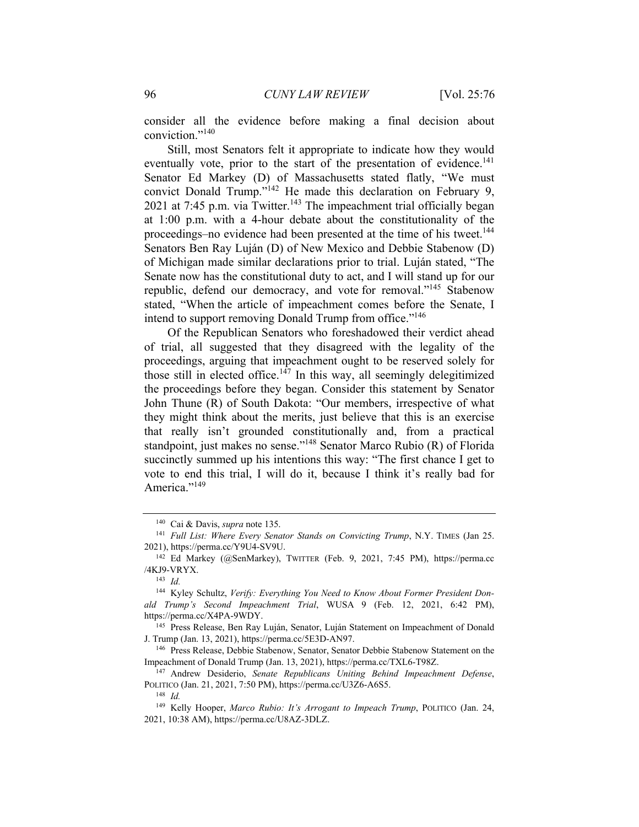consider all the evidence before making a final decision about conviction."<sup>140</sup>

Still, most Senators felt it appropriate to indicate how they would eventually vote, prior to the start of the presentation of evidence.<sup>141</sup> Senator Ed Markey (D) of Massachusetts stated flatly, "We must convict Donald Trump."142 He made this declaration on February 9, 2021 at 7:45 p.m. via Twitter.<sup>143</sup> The impeachment trial officially began at 1:00 p.m. with a 4-hour debate about the constitutionality of the proceedings–no evidence had been presented at the time of his tweet.<sup>144</sup> Senators Ben Ray Luján (D) of New Mexico and Debbie Stabenow (D) of Michigan made similar declarations prior to trial. Luján stated, "The Senate now has the constitutional duty to act, and I will stand up for our republic, defend our democracy, and vote for removal."145 Stabenow stated, "When the article of impeachment comes before the Senate, I intend to support removing Donald Trump from office."<sup>146</sup>

Of the Republican Senators who foreshadowed their verdict ahead of trial, all suggested that they disagreed with the legality of the proceedings, arguing that impeachment ought to be reserved solely for those still in elected office.<sup>147</sup> In this way, all seemingly delegitimized the proceedings before they began. Consider this statement by Senator John Thune (R) of South Dakota: "Our members, irrespective of what they might think about the merits, just believe that this is an exercise that really isn't grounded constitutionally and, from a practical standpoint, just makes no sense."148 Senator Marco Rubio (R) of Florida succinctly summed up his intentions this way: "The first chance I get to vote to end this trial, I will do it, because I think it's really bad for America."<sup>149</sup>

<sup>&</sup>lt;sup>140</sup> Cai & Davis, *supra* note 135.<br><sup>141</sup> Full List: Where Every Senator Stands on Convicting Trump, N.Y. TIMES (Jan 25. 2021), https://perma.cc/Y9U4-SV9U.<br><sup>142</sup> Ed Markey (@SenMarkey), TWITTER (Feb. 9, 2021, 7:45 PM), https://perma.cc

<sup>/4</sup>KJ9-VRYX. 143 *Id.*

<sup>144</sup> Kyley Schultz, *Verify: Everything You Need to Know About Former President Donald Trump's Second Impeachment Trial*, WUSA 9 (Feb. 12, 2021, 6:42 PM), https://perma.cc/X4PA-9WDY. 145 Press Release, Ben Ray Luján, Senator, Luján Statement on Impeachment of Donald

J. Trump (Jan. 13, 2021), https://perma.cc/5E3D-AN97. 146 Press Release, Debbie Stabenow, Senator, Senator Debbie Stabenow Statement on the

Impeachment of Donald Trump (Jan. 13, 2021), https://perma.cc/TXL6-T98Z. 147 Andrew Desiderio, *Senate Republicans Uniting Behind Impeachment Defense*,

POLITICO (Jan. 21, 2021, 7:50 PM), https://perma.cc/U3Z6-A6S5. 148 *Id.* 

<sup>&</sup>lt;sup>149</sup> Kelly Hooper, *Marco Rubio: It's Arrogant to Impeach Trump*, POLITICO (Jan. 24, 2021, 10:38 AM), https://perma.cc/U8AZ-3DLZ.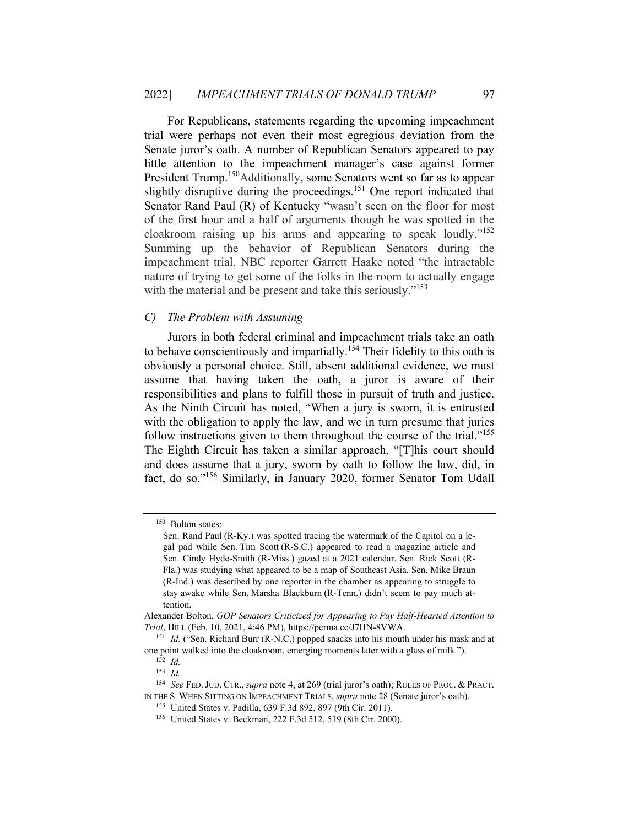For Republicans, statements regarding the upcoming impeachment trial were perhaps not even their most egregious deviation from the Senate juror's oath. A number of Republican Senators appeared to pay little attention to the impeachment manager's case against former President Trump.<sup>150</sup>Additionally, some Senators went so far as to appear slightly disruptive during the proceedings.<sup>151</sup> One report indicated that Senator Rand Paul (R) of Kentucky "wasn't seen on the floor for most of the first hour and a half of arguments though he was spotted in the cloakroom raising up his arms and appearing to speak loudly."152 Summing up the behavior of Republican Senators during the impeachment trial, NBC reporter Garrett Haake noted "the intractable nature of trying to get some of the folks in the room to actually engage with the material and be present and take this seriously."<sup>153</sup>

### *C) The Problem with Assuming*

Jurors in both federal criminal and impeachment trials take an oath to behave conscientiously and impartially.<sup>154</sup> Their fidelity to this oath is obviously a personal choice. Still, absent additional evidence, we must assume that having taken the oath, a juror is aware of their responsibilities and plans to fulfill those in pursuit of truth and justice. As the Ninth Circuit has noted, "When a jury is sworn, it is entrusted with the obligation to apply the law, and we in turn presume that juries follow instructions given to them throughout the course of the trial."155 The Eighth Circuit has taken a similar approach, "[T]his court should and does assume that a jury, sworn by oath to follow the law, did, in fact, do so."156 Similarly, in January 2020, former Senator Tom Udall

<sup>150</sup> Bolton states:

Sen. Rand Paul (R-Ky.) was spotted tracing the watermark of the Capitol on a legal pad while Sen. Tim Scott (R-S.C.) appeared to read a magazine article and Sen. Cindy Hyde-Smith (R-Miss.) gazed at a 2021 calendar. Sen. Rick Scott (R-Fla.) was studying what appeared to be a map of Southeast Asia. Sen. Mike Braun (R-Ind.) was described by one reporter in the chamber as appearing to struggle to stay awake while Sen. Marsha Blackburn (R-Tenn.) didn't seem to pay much attention.

Alexander Bolton, *GOP Senators Criticized for Appearing to Pay Half-Hearted Attention to Trial*, HILL (Feb. 10, 2021, 4:46 PM), https://perma.cc/J7HN-8VWA.<br><sup>151</sup> *Id.* ("Sen. Richard Burr (R-N.C.) popped snacks into his mouth under his mask and at

one point walked into the cloakroom, emerging moments later with a glass of milk."). 152 *Id.* 

<sup>153</sup> *Id.* 

<sup>154</sup> *See* FED. JUD. CTR., *supra* note 4, at 269 (trial juror's oath); RULES OF PROC. & PRACT.

IN THE S. WHEN SITTING ON IMPEACHMENT TRIALS, *supra* note 28 (Senate juror's oath).<br><sup>155</sup> United States v. Padilla, 639 F.3d 892, 897 (9th Cir. 2011).<br><sup>156</sup> United States v. Beckman, 222 F.3d 512, 519 (8th Cir. 2000).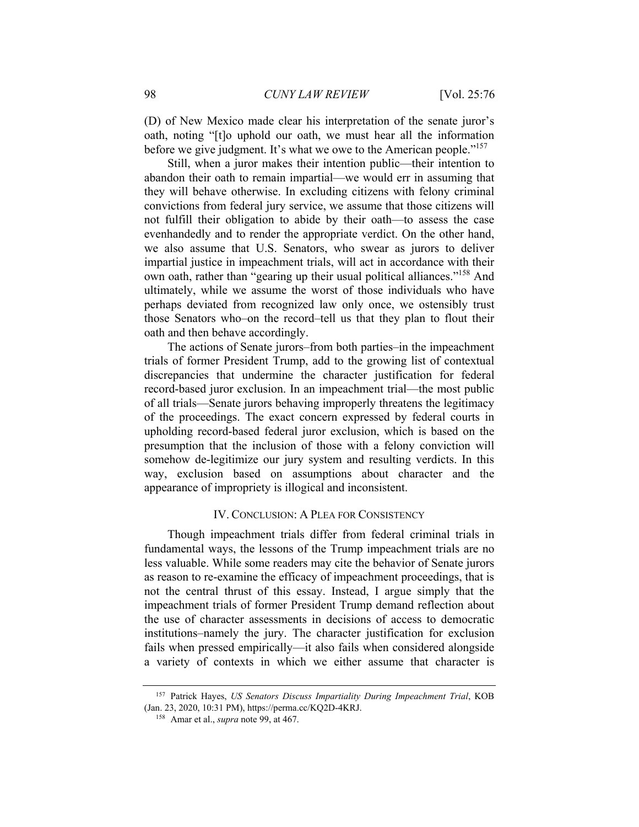(D) of New Mexico made clear his interpretation of the senate juror's oath, noting "[t]o uphold our oath, we must hear all the information before we give judgment. It's what we owe to the American people."<sup>157</sup>

Still, when a juror makes their intention public—their intention to abandon their oath to remain impartial—we would err in assuming that they will behave otherwise. In excluding citizens with felony criminal convictions from federal jury service, we assume that those citizens will not fulfill their obligation to abide by their oath—to assess the case evenhandedly and to render the appropriate verdict. On the other hand, we also assume that U.S. Senators, who swear as jurors to deliver impartial justice in impeachment trials, will act in accordance with their own oath, rather than "gearing up their usual political alliances."158 And ultimately, while we assume the worst of those individuals who have perhaps deviated from recognized law only once, we ostensibly trust those Senators who–on the record–tell us that they plan to flout their oath and then behave accordingly.

The actions of Senate jurors–from both parties–in the impeachment trials of former President Trump, add to the growing list of contextual discrepancies that undermine the character justification for federal record-based juror exclusion. In an impeachment trial—the most public of all trials—Senate jurors behaving improperly threatens the legitimacy of the proceedings. The exact concern expressed by federal courts in upholding record-based federal juror exclusion, which is based on the presumption that the inclusion of those with a felony conviction will somehow de-legitimize our jury system and resulting verdicts. In this way, exclusion based on assumptions about character and the appearance of impropriety is illogical and inconsistent.

### IV. CONCLUSION: A PLEA FOR CONSISTENCY

Though impeachment trials differ from federal criminal trials in fundamental ways, the lessons of the Trump impeachment trials are no less valuable. While some readers may cite the behavior of Senate jurors as reason to re-examine the efficacy of impeachment proceedings, that is not the central thrust of this essay. Instead, I argue simply that the impeachment trials of former President Trump demand reflection about the use of character assessments in decisions of access to democratic institutions–namely the jury. The character justification for exclusion fails when pressed empirically—it also fails when considered alongside a variety of contexts in which we either assume that character is

<sup>157</sup> Patrick Hayes, *US Senators Discuss Impartiality During Impeachment Trial*, KOB (Jan. 23, 2020, 10:31 PM), https://perma.cc/KQ2D-4KRJ. 158 Amar et al., *supra* note 99, at 467.